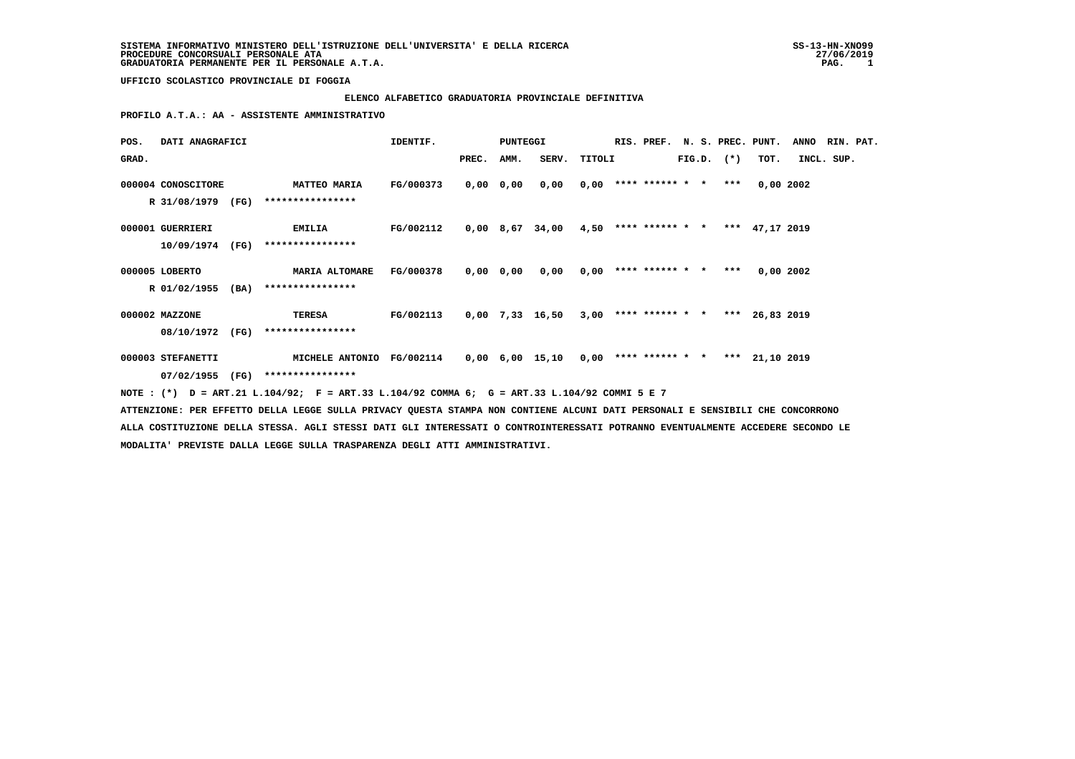#### **ELENCO ALFABETICO GRADUATORIA PROVINCIALE DEFINITIVA**

 **PROFILO A.T.A.: AA - ASSISTENTE AMMINISTRATIVO**

| POS.  | DATI ANAGRAFICI    |  |                                                                                              | IDENTIF.         |            | PUNTEGGI |                                                             |  |                |  |      | RIS. PREF. N. S. PREC. PUNT. ANNO RIN. PAT. |  |
|-------|--------------------|--|----------------------------------------------------------------------------------------------|------------------|------------|----------|-------------------------------------------------------------|--|----------------|--|------|---------------------------------------------|--|
| GRAD. |                    |  |                                                                                              |                  | PREC. AMM. |          | SERV. TITOLI                                                |  | $FIG.D.$ $(*)$ |  | TOT. | INCL. SUP.                                  |  |
|       | 000004 CONOSCITORE |  | <b>MATTEO MARIA</b>                                                                          | <b>FG/000373</b> |            |          | $0,00$ $0,00$ $0,00$ $0,00$ $***$ **** **** * *** 0,00 2002 |  |                |  |      |                                             |  |
|       |                    |  | R 31/08/1979 (FG) ****************                                                           |                  |            |          |                                                             |  |                |  |      |                                             |  |
|       | 000001 GUERRIERI   |  | <b>EMILIA</b>                                                                                | FG/002112        |            |          | $0,00$ 8,67 34,00 4,50 **** ****** * *** 47,17 2019         |  |                |  |      |                                             |  |
|       |                    |  | 10/09/1974 (FG) ****************                                                             |                  |            |          |                                                             |  |                |  |      |                                             |  |
|       | 000005 LOBERTO     |  | MARIA ALTOMARE FG/000378                                                                     |                  |            |          | $0,00$ $0,00$ $0,00$ $0,00$ **** ****** * *** 0,00 2002     |  |                |  |      |                                             |  |
|       | R 01/02/1955 (BA)  |  | ****************                                                                             |                  |            |          |                                                             |  |                |  |      |                                             |  |
|       | 000002 MAZZONE     |  | TERESA                                                                                       | FG/002113        |            |          | $0,00$ 7,33 16,50 3,00 **** ****** * *** 26,83 2019         |  |                |  |      |                                             |  |
|       |                    |  | 08/10/1972 (FG) ****************                                                             |                  |            |          |                                                             |  |                |  |      |                                             |  |
|       | 000003 STEFANETTI  |  | MICHELE ANTONIO FG/002114 0,00 6,00 15,10 0,00 **** ****** * * *** 21,10 2019                |                  |            |          |                                                             |  |                |  |      |                                             |  |
|       |                    |  | 07/02/1955 (FG) ****************                                                             |                  |            |          |                                                             |  |                |  |      |                                             |  |
|       |                    |  | NOTE : (*) D = ART.21 L.104/92; F = ART.33 L.104/92 COMMA 6; G = ART.33 L.104/92 COMMI 5 E 7 |                  |            |          |                                                             |  |                |  |      |                                             |  |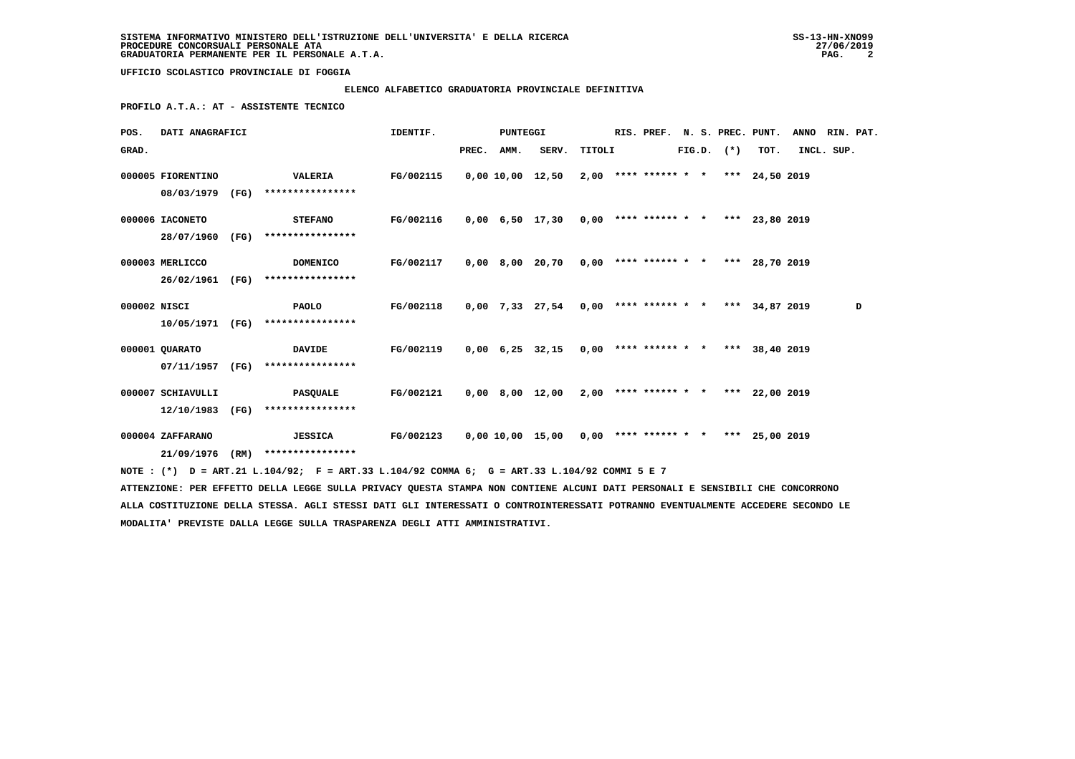# **ELENCO ALFABETICO GRADUATORIA PROVINCIALE DEFINITIVA**

 **PROFILO A.T.A.: AT - ASSISTENTE TECNICO**

| POS.         | DATI ANAGRAFICI                      |      |                                                                                                                                                                                                                                                  | IDENTIF.  |       | PUNTEGGI |                                                      |        | RIS. PREF. |  | N. S. PREC. PUNT. |                                       | <b>ANNO</b> | RIN. PAT. |   |
|--------------|--------------------------------------|------|--------------------------------------------------------------------------------------------------------------------------------------------------------------------------------------------------------------------------------------------------|-----------|-------|----------|------------------------------------------------------|--------|------------|--|-------------------|---------------------------------------|-------------|-----------|---|
| GRAD.        |                                      |      |                                                                                                                                                                                                                                                  |           | PREC. | AMM.     | SERV.                                                | TITOLI |            |  | $FIG.D.$ $(*)$    | TOT.                                  | INCL. SUP.  |           |   |
|              | 000005 FIORENTINO<br>08/03/1979      | (FG) | <b>VALERIA</b><br>****************                                                                                                                                                                                                               | FG/002115 |       |          | 0,00 10,00 12,50                                     |        |            |  |                   | $2,00$ **** ****** * * *** 24,50 2019 |             |           |   |
|              | 000006 IACONETO<br>28/07/1960        | (FG) | <b>STEFANO</b><br>****************                                                                                                                                                                                                               | FG/002116 |       |          | 0,00 6,50 17,30 0,00 **** ****** * *** 23,80 2019    |        |            |  |                   |                                       |             |           |   |
|              | 000003 MERLICCO<br>26/02/1961        | (FG) | <b>DOMENICO</b><br>****************                                                                                                                                                                                                              | FG/002117 |       |          | 0,00 8,00 20,70                                      |        |            |  |                   | $0,00$ **** ****** * * *** 28,70 2019 |             |           |   |
| 000002 NISCI | 10/05/1971                           | (FG) | PAOLO<br>****************                                                                                                                                                                                                                        | FG/002118 |       |          | $0,00$ 7,33 27,54 0,00 **** ****** * *** 34,87 2019  |        |            |  |                   |                                       |             |           | D |
|              | 000001 QUARATO<br>07/11/1957         | (FG) | <b>DAVIDE</b><br>****************                                                                                                                                                                                                                | FG/002119 |       |          | $0,00$ 6,25 32,15 0,00 **** ****** * *** 38,40 2019  |        |            |  |                   |                                       |             |           |   |
|              | 000007 SCHIAVULLI<br>12/10/1983 (FG) |      | PASQUALE<br>****************                                                                                                                                                                                                                     | FG/002121 |       |          | 0,00 8,00 12,00                                      |        |            |  |                   | $2,00$ **** ****** * * *** 22,00 2019 |             |           |   |
|              | 000004 ZAFFARANO                     |      | <b>JESSICA</b>                                                                                                                                                                                                                                   | FG/002123 |       |          | $0,00$ 10,00 15,00 0,00 **** ****** * *** 25,00 2019 |        |            |  |                   |                                       |             |           |   |
|              | 21/09/1976 (RM)                      |      | ****************<br>NOTE: (*) D = ART.21 L.104/92; F = ART.33 L.104/92 COMMA 6; G = ART.33 L.104/92 COMMI 5 E 7<br>ATTENZIONE: PER EFFETTO DELLA LEGGE SULLA PRIVACY QUESTA STAMPA NON CONTIENE ALCUNI DATI PERSONALI E SENSIBILI CHE CONCORRONO |           |       |          |                                                      |        |            |  |                   |                                       |             |           |   |
|              |                                      |      | ALLA COSTITUZIONE DELLA STESSA. AGLI STESSI DATI GLI INTERESSATI O CONTROINTERESSATI POTRANNO EVENTUALMENTE ACCEDERE SECONDO LE                                                                                                                  |           |       |          |                                                      |        |            |  |                   |                                       |             |           |   |

 **MODALITA' PREVISTE DALLA LEGGE SULLA TRASPARENZA DEGLI ATTI AMMINISTRATIVI.**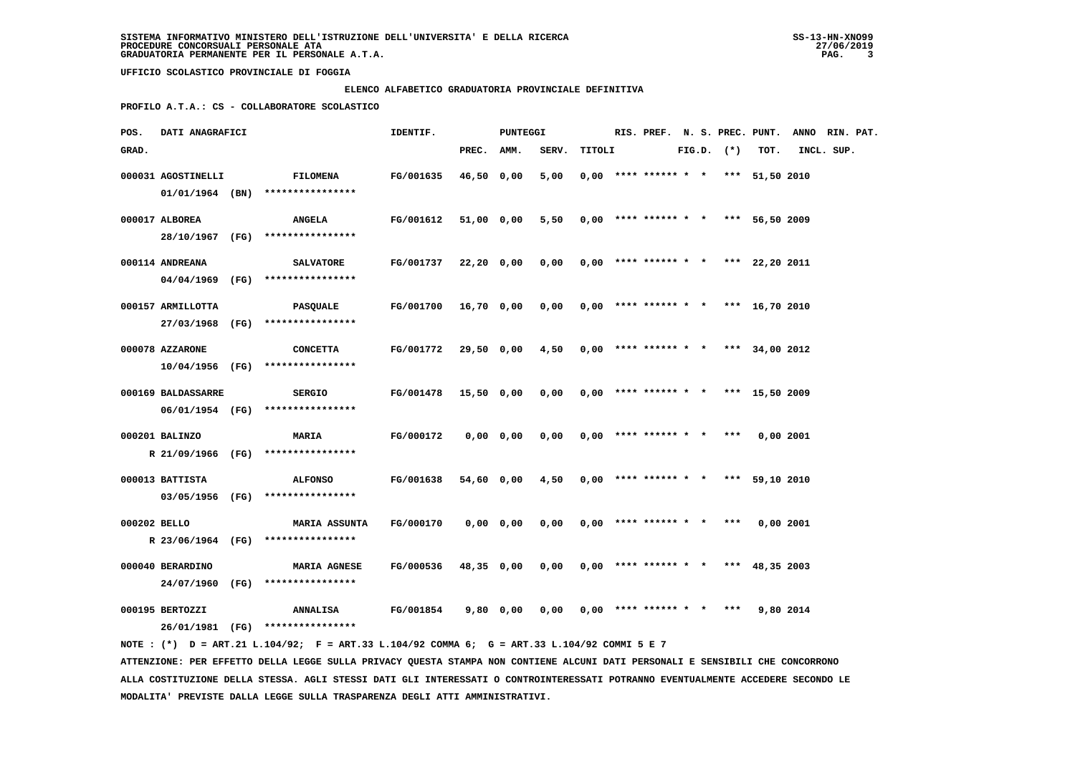# **ELENCO ALFABETICO GRADUATORIA PROVINCIALE DEFINITIVA**

 **PROFILO A.T.A.: CS - COLLABORATORE SCOLASTICO**

| POS.         |                    | DATI ANAGRAFICI |                                                                                                                               |           |              | PUNTEGGI   |       |        |                                       |  |                |                | RIS. PREF. N. S. PREC. PUNT. ANNO RIN. PAT. |  |
|--------------|--------------------|-----------------|-------------------------------------------------------------------------------------------------------------------------------|-----------|--------------|------------|-------|--------|---------------------------------------|--|----------------|----------------|---------------------------------------------|--|
| GRAD.        |                    |                 |                                                                                                                               |           | PREC.        | AMM.       | SERV. | TITOLI |                                       |  | $FIG.D.$ $(*)$ | TOT.           | INCL. SUP.                                  |  |
|              | 000031 AGOSTINELLI |                 | <b>FILOMENA</b>                                                                                                               | FG/001635 | 46,50 0,00   |            | 5,00  |        | $0.00$ **** ****** * *                |  |                | *** 51,50 2010 |                                             |  |
|              | $01/01/1964$ (BN)  |                 | ****************                                                                                                              |           |              |            |       |        |                                       |  |                |                |                                             |  |
|              | 000017 ALBOREA     |                 |                                                                                                                               |           |              |            |       |        |                                       |  |                | *** 56,50 2009 |                                             |  |
|              | 28/10/1967 (FG)    |                 | ANGELA<br>****************                                                                                                    | FG/001612 | 51,00 0,00   |            | 5,50  |        | $0,00$ **** ****** * *                |  |                |                |                                             |  |
|              |                    |                 |                                                                                                                               |           |              |            |       |        |                                       |  |                |                |                                             |  |
|              | 000114 ANDREANA    |                 | <b>SALVATORE</b>                                                                                                              | FG/001737 | 22,20 0,00   |            | 0,00  |        | $0,00$ **** ****** * * *** 22,20 2011 |  |                |                |                                             |  |
|              | 04/04/1969 (FG)    |                 | ****************                                                                                                              |           |              |            |       |        |                                       |  |                |                |                                             |  |
|              | 000157 ARMILLOTTA  |                 | PASQUALE                                                                                                                      | FG/001700 | $16,70$ 0,00 |            | 0,00  |        | $0,00$ **** ****** * *                |  |                | *** 16,70 2010 |                                             |  |
|              | 27/03/1968 (FG)    |                 | ****************                                                                                                              |           |              |            |       |        |                                       |  |                |                |                                             |  |
|              | 000078 AZZARONE    |                 | <b>CONCETTA</b>                                                                                                               | FG/001772 | 29,50 0,00   |            | 4,50  |        | $0,00$ **** ****** * *                |  |                | *** 34,00 2012 |                                             |  |
|              | 10/04/1956 (FG)    |                 | ****************                                                                                                              |           |              |            |       |        |                                       |  |                |                |                                             |  |
|              |                    |                 |                                                                                                                               |           |              |            |       |        |                                       |  |                |                |                                             |  |
|              | 000169 BALDASSARRE |                 | <b>SERGIO</b>                                                                                                                 | FG/001478 | $15,50$ 0,00 |            | 0,00  |        | $0,00$ **** ****** * * *** 15,50 2009 |  |                |                |                                             |  |
|              | 06/01/1954 (FG)    |                 | ****************                                                                                                              |           |              |            |       |        |                                       |  |                |                |                                             |  |
|              | 000201 BALINZO     |                 | <b>MARIA</b>                                                                                                                  | FG/000172 |              | 0,0000,000 | 0,00  |        | $0,00$ **** ****** * *                |  | $***$          | $0,00$ 2001    |                                             |  |
|              | R 21/09/1966 (FG)  |                 | ****************                                                                                                              |           |              |            |       |        |                                       |  |                |                |                                             |  |
|              | 000013 BATTISTA    |                 | <b>ALFONSO</b>                                                                                                                | FG/001638 | 54,60 0,00   |            | 4,50  |        | $0,00$ **** ****** * *                |  | ***            | 59,10 2010     |                                             |  |
|              | 03/05/1956 (FG)    |                 | ****************                                                                                                              |           |              |            |       |        |                                       |  |                |                |                                             |  |
|              |                    |                 |                                                                                                                               |           |              |            |       |        |                                       |  |                |                |                                             |  |
| 000202 BELLO |                    |                 | <b>MARIA ASSUNTA</b>                                                                                                          | FG/000170 |              | 0,0000,000 | 0,00  |        | $0,00$ **** ****** * * ***            |  |                | 0,002001       |                                             |  |
|              | R 23/06/1964 (FG)  |                 | ****************                                                                                                              |           |              |            |       |        |                                       |  |                |                |                                             |  |
|              | 000040 BERARDINO   |                 | <b>MARIA AGNESE</b>                                                                                                           | FG/000536 | 48,35 0,00   |            | 0,00  |        | $0.00$ **** ****** * * *** 48.35 2003 |  |                |                |                                             |  |
|              | 24/07/1960 (FG)    |                 | ****************                                                                                                              |           |              |            |       |        |                                       |  |                |                |                                             |  |
|              | 000195 BERTOZZI    |                 | <b>ANNALISA</b>                                                                                                               | FG/001854 |              | 9,80 0,00  | 0,00  |        | $0,00$ **** ****** * * ***            |  |                | 9,80 2014      |                                             |  |
|              |                    |                 | 26/01/1981 (FG) ****************                                                                                              |           |              |            |       |        |                                       |  |                |                |                                             |  |
|              |                    |                 | NOTE : (*) D = ART.21 L.104/92; F = ART.33 L.104/92 COMMA 6; G = ART.33 L.104/92 COMMI 5 E 7                                  |           |              |            |       |        |                                       |  |                |                |                                             |  |
|              |                    |                 | ATTENZIONE: PER EFFETTO DELLA LEGGE SULLA PRIVACY QUESTA STAMPA NON CONTIENE ALCUNI DATI PERSONALI E SENSIBILI CHE CONCORRONO |           |              |            |       |        |                                       |  |                |                |                                             |  |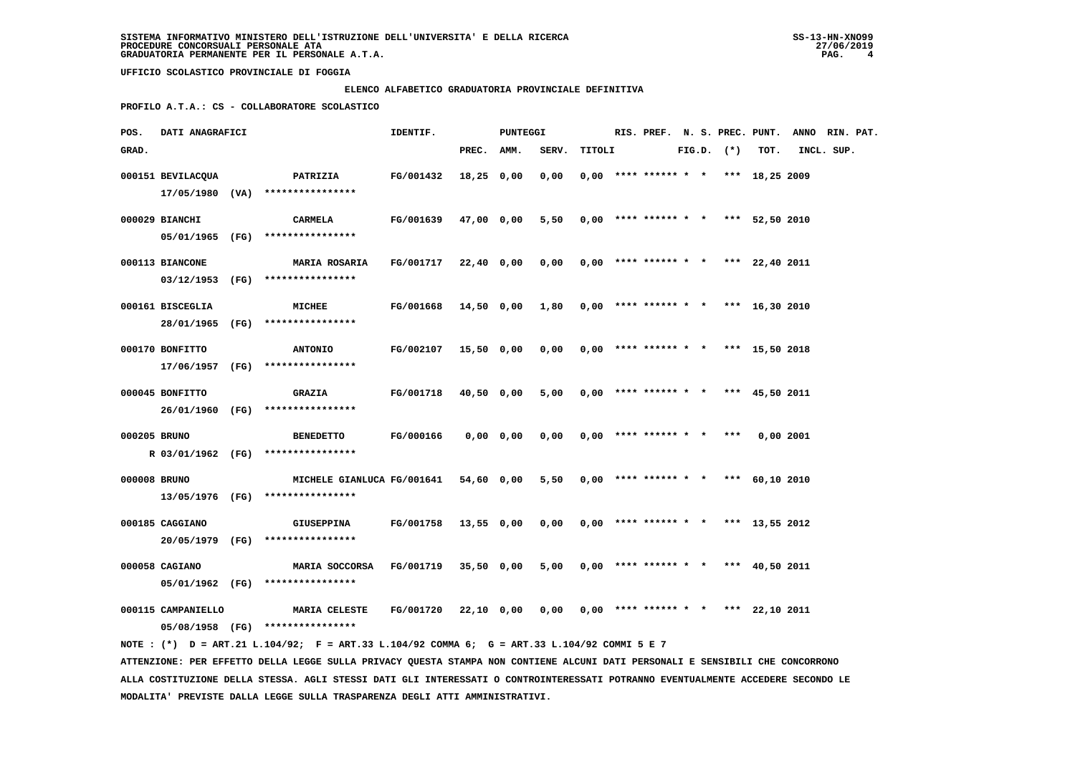# **ELENCO ALFABETICO GRADUATORIA PROVINCIALE DEFINITIVA**

 **PROFILO A.T.A.: CS - COLLABORATORE SCOLASTICO**

| POS.         | DATI ANAGRAFICI    |                                                                                                                                 | IDENTIF.  |              | PUNTEGGI |       |        |                        |  |                | RIS. PREF. N. S. PREC. PUNT.          | ANNO RIN. PAT. |  |
|--------------|--------------------|---------------------------------------------------------------------------------------------------------------------------------|-----------|--------------|----------|-------|--------|------------------------|--|----------------|---------------------------------------|----------------|--|
| GRAD.        |                    |                                                                                                                                 |           | PREC. AMM.   |          | SERV. | TITOLI |                        |  | $FIG.D.$ $(*)$ | TOT.                                  | INCL. SUP.     |  |
|              | 000151 BEVILACQUA  | <b>PATRIZIA</b>                                                                                                                 | FG/001432 | $18,25$ 0,00 |          | 0,00  |        |                        |  |                | $0,00$ **** ****** * * *** 18,25 2009 |                |  |
|              |                    | $17/05/1980$ (VA) ****************                                                                                              |           |              |          |       |        |                        |  |                |                                       |                |  |
|              |                    |                                                                                                                                 |           |              |          |       |        |                        |  |                |                                       |                |  |
|              | 000029 BIANCHI     | CARMELA                                                                                                                         | FG/001639 | 47,00 0,00   |          | 5,50  |        |                        |  |                | $0,00$ **** ****** * * *** 52,50 2010 |                |  |
|              |                    | 05/01/1965 (FG) ****************                                                                                                |           |              |          |       |        |                        |  |                |                                       |                |  |
|              | 000113 BIANCONE    | <b>MARIA ROSARIA</b>                                                                                                            | FG/001717 | 22,40 0,00   |          | 0,00  |        |                        |  |                | $0,00$ **** ****** * * *** 22,40 2011 |                |  |
|              |                    | 03/12/1953 (FG) ****************                                                                                                |           |              |          |       |        |                        |  |                |                                       |                |  |
|              | 000161 BISCEGLIA   | MICHEE                                                                                                                          | FG/001668 | 14,50 0,00   |          | 1,80  |        | $0.00$ **** ****** * * |  |                | *** 16,30 2010                        |                |  |
|              |                    | 28/01/1965 (FG) ****************                                                                                                |           |              |          |       |        |                        |  |                |                                       |                |  |
|              |                    |                                                                                                                                 |           |              |          |       |        |                        |  |                |                                       |                |  |
|              | 000170 BONFITTO    | <b>ANTONIO</b>                                                                                                                  | FG/002107 | 15,50 0,00   |          | 0,00  |        | $0.00$ **** ****** * * |  |                | *** 15,50 2018                        |                |  |
|              |                    | $17/06/1957$ (FG) *****************                                                                                             |           |              |          |       |        |                        |  |                |                                       |                |  |
|              | 000045 BONFITTO    | <b>GRAZIA</b>                                                                                                                   | FG/001718 | 40,50 0,00   |          | 5,00  |        |                        |  |                | $0,00$ **** ****** * * *** 45,50 2011 |                |  |
|              | 26/01/1960 (FG)    | ****************                                                                                                                |           |              |          |       |        |                        |  |                |                                       |                |  |
| 000205 BRUNO |                    | <b>BENEDETTO</b>                                                                                                                | FG/000166 | $0,00$ 0,00  |          | 0,00  |        | $0.00$ **** ****** * * |  | ***            | 0,002001                              |                |  |
|              |                    | R 03/01/1962 (FG) ****************                                                                                              |           |              |          |       |        |                        |  |                |                                       |                |  |
|              |                    |                                                                                                                                 |           |              |          |       |        |                        |  |                |                                       |                |  |
| 000008 BRUNO |                    | MICHELE GIANLUCA FG/001641                                                                                                      |           | 54,60 0,00   |          | 5,50  |        | $0,00$ **** ****** * * |  |                | *** 60,10 2010                        |                |  |
|              |                    | $13/05/1976$ (FG) *****************                                                                                             |           |              |          |       |        |                        |  |                |                                       |                |  |
|              | 000185 CAGGIANO    | <b>GIUSEPPINA</b>                                                                                                               | FG/001758 | 13,55 0,00   |          | 0,00  |        | $0,00$ **** ****** * * |  |                | *** 13,55 2012                        |                |  |
|              |                    | 20/05/1979 (FG) ****************                                                                                                |           |              |          |       |        |                        |  |                |                                       |                |  |
|              | 000058 CAGIANO     |                                                                                                                                 |           |              |          |       |        |                        |  |                |                                       |                |  |
|              |                    | MARIA SOCCORSA<br>05/01/1962 (FG) ****************                                                                              | FG/001719 | $35,50$ 0,00 |          | 5,00  |        | $0,00$ **** ****** * * |  |                | *** 40,50 2011                        |                |  |
|              |                    |                                                                                                                                 |           |              |          |       |        |                        |  |                |                                       |                |  |
|              | 000115 CAMPANIELLO | <b>MARIA CELESTE</b>                                                                                                            | FG/001720 | 22,10 0,00   |          | 0,00  |        |                        |  |                | $0,00$ **** ****** * * *** 22,10 2011 |                |  |
|              |                    | 05/08/1958 (FG) ****************                                                                                                |           |              |          |       |        |                        |  |                |                                       |                |  |
|              |                    | NOTE: (*) D = ART.21 L.104/92; F = ART.33 L.104/92 COMMA 6; G = ART.33 L.104/92 COMMI 5 E 7                                     |           |              |          |       |        |                        |  |                |                                       |                |  |
|              |                    | ATTENZIONE: PER EFFETTO DELLA LEGGE SULLA PRIVACY QUESTA STAMPA NON CONTIENE ALCUNI DATI PERSONALI E SENSIBILI CHE CONCORRONO   |           |              |          |       |        |                        |  |                |                                       |                |  |
|              |                    | ALLA COSTITUZIONE DELLA STESSA. AGLI STESSI DATI GLI INTERESSATI O CONTROINTERESSATI POTRANNO EVENTUALMENTE ACCEDERE SECONDO LE |           |              |          |       |        |                        |  |                |                                       |                |  |

 **MODALITA' PREVISTE DALLA LEGGE SULLA TRASPARENZA DEGLI ATTI AMMINISTRATIVI.**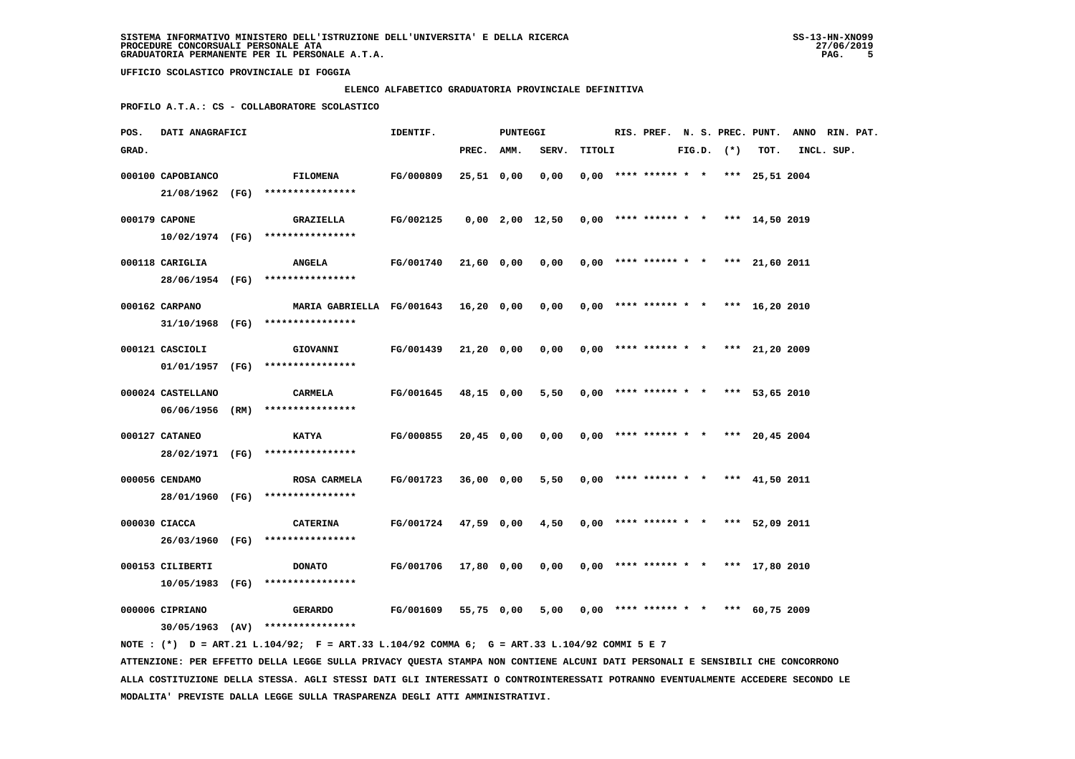### **ELENCO ALFABETICO GRADUATORIA PROVINCIALE DEFINITIVA**

 **PROFILO A.T.A.: CS - COLLABORATORE SCOLASTICO**

| POS.  | DATI ANAGRAFICI                     |                                                                                             | IDENTIF.             |            | PUNTEGGI |                                                     |        |  |                                       |  |                |      | RIS. PREF. N. S. PREC. PUNT. ANNO RIN. PAT. |  |
|-------|-------------------------------------|---------------------------------------------------------------------------------------------|----------------------|------------|----------|-----------------------------------------------------|--------|--|---------------------------------------|--|----------------|------|---------------------------------------------|--|
| GRAD. |                                     |                                                                                             |                      | PREC. AMM. |          | SERV.                                               | TITOLI |  |                                       |  | $FIG.D.$ $(*)$ | TOT. | INCL. SUP.                                  |  |
|       | 000100 CAPOBIANCO                   | <b>FILOMENA</b><br>21/08/1962 (FG) ****************                                         | FG/000809            | 25,51 0,00 |          | 0,00                                                |        |  | $0.00$ **** ****** * * *** 25.51 2004 |  |                |      |                                             |  |
|       | 000179 CAPONE                       | <b>GRAZIELLA</b><br>$10/02/1974$ (FG) ****************                                      | FG/002125            |            |          | $0,00$ 2,00 12,50 0,00 **** ****** * *** 14,50 2019 |        |  |                                       |  |                |      |                                             |  |
|       | 000118 CARIGLIA                     | <b>ANGELA</b><br>28/06/1954 (FG) ****************                                           | FG/001740            | 21,60 0,00 |          | $0,00$ $0,00$ **** ****** * * *** 21,60 2011        |        |  |                                       |  |                |      |                                             |  |
|       | 000162 CARPANO                      | MARIA GABRIELLA FG/001643 16,20 0,00<br>31/10/1968 (FG) ****************                    |                      |            |          | 0,00                                                |        |  | $0,00$ **** ****** * * *** 16,20 2010 |  |                |      |                                             |  |
|       | 000121 CASCIOLI                     | GIOVANNI<br>$01/01/1957$ (FG) ****************                                              | <b>FG/001439</b>     | 21,20 0,00 |          | 0,00                                                |        |  | $0,00$ **** ****** * * *** 21,20 2009 |  |                |      |                                             |  |
|       | 000024 CASTELLANO                   | CARMELA<br>06/06/1956 (RM) ****************                                                 | <b>FG/001645</b>     | 48,15 0,00 |          | 5,50                                                |        |  | $0,00$ **** ****** * * *** 53,65 2010 |  |                |      |                                             |  |
|       | 000127 CATANEO                      | <b>KATYA</b><br>28/02/1971 (FG) ****************                                            | FG/000855            | 20,45 0,00 |          | 0,00                                                |        |  | $0.00$ **** ****** * * *** 20.45 2004 |  |                |      |                                             |  |
|       | 000056 CENDAMO                      | <b>ROSA CARMELA</b><br>28/01/1960 (FG) ****************                                     | FG/001723            | 36,00 0,00 |          | 5,50                                                |        |  | $0,00$ **** ****** * * *** 41,50 2011 |  |                |      |                                             |  |
|       | 000030 CIACCA                       | <b>CATERINA</b><br>26/03/1960 (FG) ****************                                         | FG/001724 47,59 0,00 |            |          | 4,50                                                |        |  | $0,00$ **** ****** * * *** 52,09 2011 |  |                |      |                                             |  |
|       | 000153 CILIBERTI<br>10/05/1983 (FG) | <b>DONATO</b><br>****************                                                           | FG/001706            | 17,80 0,00 |          | 0,00                                                |        |  | $0.00$ **** ****** * * *** 17,80 2010 |  |                |      |                                             |  |
|       | 000006 CIPRIANO                     | <b>GERARDO</b><br>$30/05/1963$ (AV) ****************                                        | <b>FG/001609</b>     | 55,75 0,00 |          | 5,00                                                |        |  | $0,00$ **** ****** * * *** 60,75 2009 |  |                |      |                                             |  |
|       |                                     | NOTE: (*) D = ART.21 L.104/92; F = ART.33 L.104/92 COMMA 6; G = ART.33 L.104/92 COMMI 5 E 7 |                      |            |          |                                                     |        |  |                                       |  |                |      |                                             |  |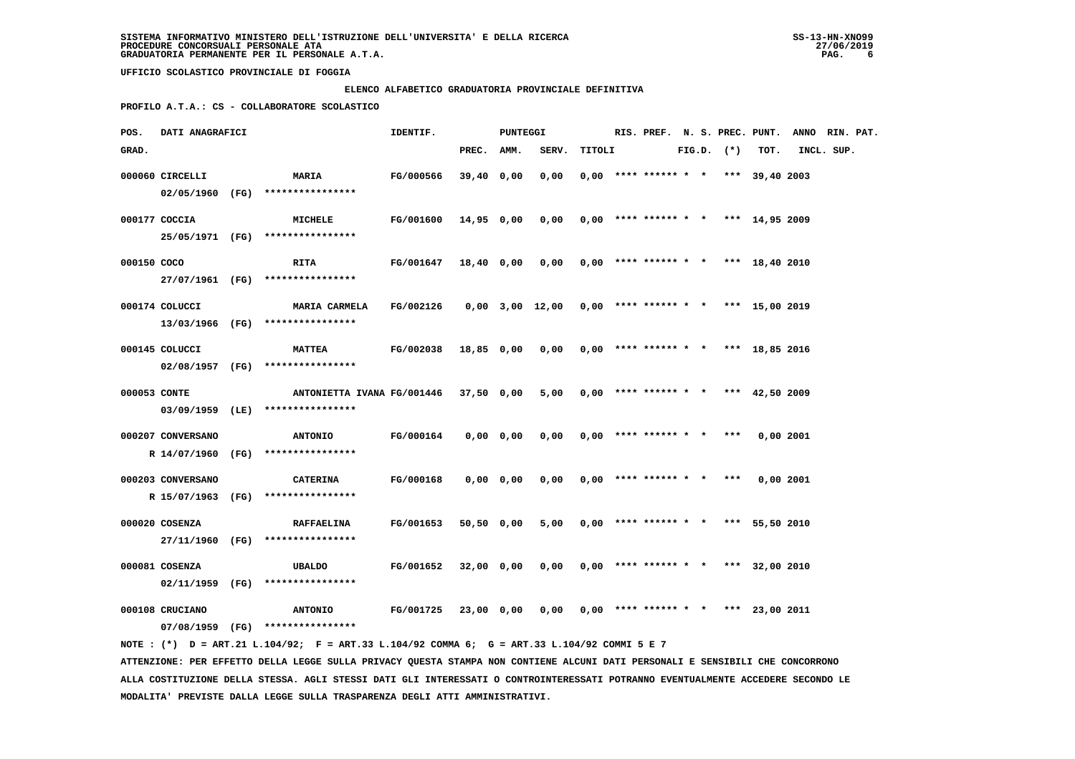#### **ELENCO ALFABETICO GRADUATORIA PROVINCIALE DEFINITIVA**

 **PROFILO A.T.A.: CS - COLLABORATORE SCOLASTICO**

| POS.         | <b>DATI ANAGRAFICI</b> |                                                                                             | IDENTIF.                                                              |            | PUNTEGGI  |                                              |        |                                       |  |                |             | RIS. PREF. N. S. PREC. PUNT. ANNO RIN. PAT. |  |
|--------------|------------------------|---------------------------------------------------------------------------------------------|-----------------------------------------------------------------------|------------|-----------|----------------------------------------------|--------|---------------------------------------|--|----------------|-------------|---------------------------------------------|--|
| GRAD.        |                        |                                                                                             |                                                                       | PREC. AMM. |           | SERV.                                        | TITOLI |                                       |  | $FIG.D.$ $(*)$ | TOT.        | INCL. SUP.                                  |  |
|              | 000060 CIRCELLI        | <b>MARIA</b>                                                                                | FG/000566                                                             | 39,40 0,00 |           | 0,00                                         |        | $0,00$ **** ****** * * *** 39,40 2003 |  |                |             |                                             |  |
|              |                        | 02/05/1960 (FG) ****************                                                            |                                                                       |            |           |                                              |        |                                       |  |                |             |                                             |  |
|              | 000177 COCCIA          | <b>MICHELE</b>                                                                              | FG/001600 14,95 0,00                                                  |            |           | $0,00$ $0,00$ **** ****** * * *** 14,95 2009 |        |                                       |  |                |             |                                             |  |
|              |                        | 25/05/1971 (FG) ****************                                                            |                                                                       |            |           |                                              |        |                                       |  |                |             |                                             |  |
| 000150 COCO  |                        | <b>RITA</b>                                                                                 | <b>FG/001647</b>                                                      | 18,40 0,00 |           | 0,00                                         |        | $0,00$ **** ****** * * *** 18,40 2010 |  |                |             |                                             |  |
|              |                        | 27/07/1961 (FG) ****************                                                            |                                                                       |            |           |                                              |        |                                       |  |                |             |                                             |  |
|              | 000174 COLUCCI         | <b>MARIA CARMELA</b>                                                                        | FG/002126  0,00  3,00  12,00  0,00  ****  ******  *  ***  15,00  2019 |            |           |                                              |        |                                       |  |                |             |                                             |  |
|              |                        | 13/03/1966 (FG) ****************                                                            |                                                                       |            |           |                                              |        |                                       |  |                |             |                                             |  |
|              | 000145 COLUCCI         | <b>MATTEA</b>                                                                               | FG/002038                                                             | 18,85 0,00 |           | $0,00$ $0,00$ **** ****** * * *** 18,85 2016 |        |                                       |  |                |             |                                             |  |
|              |                        | 02/08/1957 (FG) ****************                                                            |                                                                       |            |           |                                              |        |                                       |  |                |             |                                             |  |
| 000053 CONTE |                        | ANTONIETTA IVANA FG/001446 37,50 0,00                                                       |                                                                       |            |           | 5,00                                         |        | $0.00$ **** ****** * * *** 42,50 2009 |  |                |             |                                             |  |
|              |                        | 03/09/1959 (LE) ****************                                                            |                                                                       |            |           |                                              |        |                                       |  |                |             |                                             |  |
|              | 000207 CONVERSANO      | <b>ANTONIO</b>                                                                              | FG/000164                                                             |            | 0,00 0,00 | 0,00                                         |        | $0,00$ **** ****** * * ***            |  |                | $0,00$ 2001 |                                             |  |
|              |                        | R 14/07/1960 (FG) ****************                                                          |                                                                       |            |           |                                              |        |                                       |  |                |             |                                             |  |
|              | 000203 CONVERSANO      | <b>CATERINA</b>                                                                             | FG/000168                                                             |            | 0,00 0,00 | 0,00                                         |        | $0,00$ **** ****** * * ***            |  |                | 0,002001    |                                             |  |
|              |                        | R 15/07/1963 (FG) ****************                                                          |                                                                       |            |           |                                              |        |                                       |  |                |             |                                             |  |
|              | 000020 COSENZA         | <b>RAFFAELINA</b>                                                                           | FG/001653                                                             | 50,50 0,00 |           | 5,00                                         |        | $0,00$ **** ****** * * *** 55,50 2010 |  |                |             |                                             |  |
|              |                        | 27/11/1960 (FG) ****************                                                            |                                                                       |            |           |                                              |        |                                       |  |                |             |                                             |  |
|              | 000081 COSENZA         | UBALDO                                                                                      | FG/001652                                                             | 32,00 0,00 |           | 0,00                                         |        | $0,00$ **** ****** * * *** 32,00 2010 |  |                |             |                                             |  |
|              |                        | 02/11/1959 (FG) ****************                                                            |                                                                       |            |           |                                              |        |                                       |  |                |             |                                             |  |
|              |                        |                                                                                             |                                                                       |            |           |                                              |        |                                       |  |                |             |                                             |  |
|              | 000108 CRUCIANO        | <b>ANTONIO</b><br>07/08/1959 (FG) ****************                                          | FG/001725                                                             | 23,00 0,00 |           | $0,00$ $0,00$ **** ****** * * *** 23,00 2011 |        |                                       |  |                |             |                                             |  |
|              |                        | NOTE: (*) D = ART.21 L.104/92; F = ART.33 L.104/92 COMMA 6; G = ART.33 L.104/92 COMMI 5 E 7 |                                                                       |            |           |                                              |        |                                       |  |                |             |                                             |  |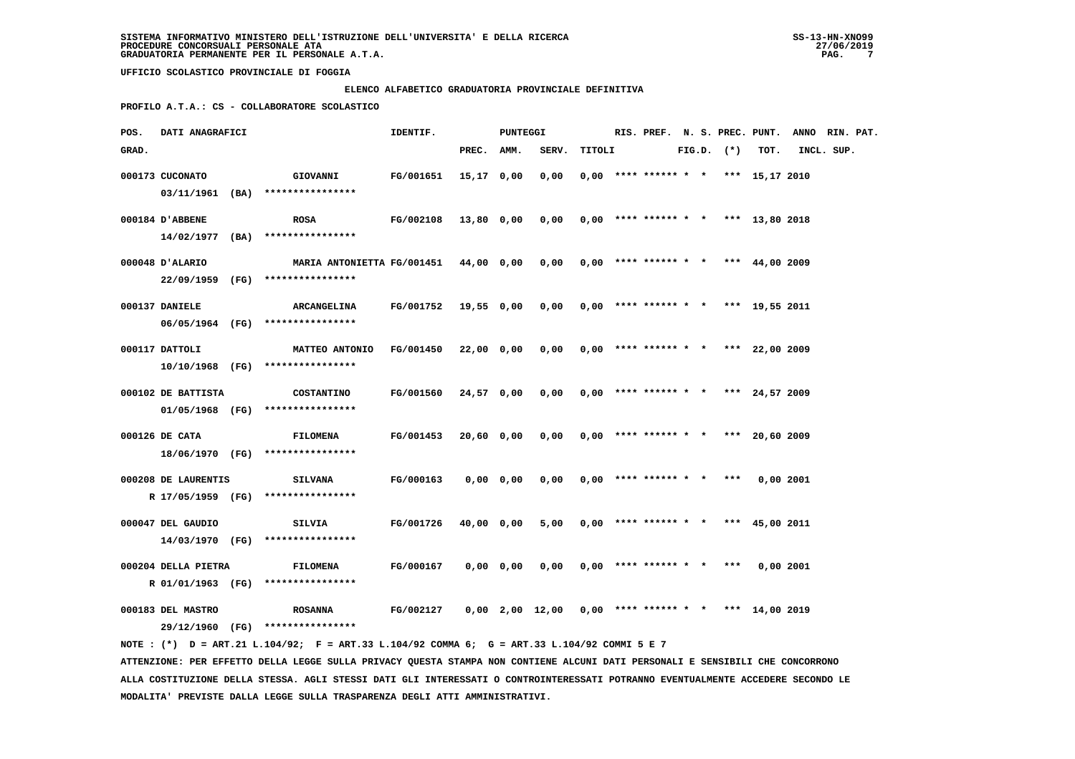### **ELENCO ALFABETICO GRADUATORIA PROVINCIALE DEFINITIVA**

 **PROFILO A.T.A.: CS - COLLABORATORE SCOLASTICO**

| POS.  | DATI ANAGRAFICI     |                                                                                             | IDENTIF.             |               | PUNTEGGI      |                                                       |        |  |                                       |  |                |             | RIS. PREF. N. S. PREC. PUNT. ANNO RIN. PAT. |  |
|-------|---------------------|---------------------------------------------------------------------------------------------|----------------------|---------------|---------------|-------------------------------------------------------|--------|--|---------------------------------------|--|----------------|-------------|---------------------------------------------|--|
| GRAD. |                     |                                                                                             |                      | PREC. AMM.    |               | SERV.                                                 | TITOLI |  |                                       |  | $FIG.D.$ $(*)$ | TOT.        | INCL. SUP.                                  |  |
|       | 000173 CUCONATO     | <b>GIOVANNI</b>                                                                             | FG/001651            | $15, 17$ 0,00 |               | 0,00                                                  |        |  | $0,00$ **** ****** * * *** 15,17 2010 |  |                |             |                                             |  |
|       |                     | $03/11/1961$ (BA) ****************                                                          |                      |               |               |                                                       |        |  |                                       |  |                |             |                                             |  |
|       | 000184 D'ABBENE     | <b>ROSA</b>                                                                                 | FG/002108            | 13,80 0,00    |               | 0,00                                                  |        |  | $0,00$ **** ****** * * *** 13,80 2018 |  |                |             |                                             |  |
|       |                     | 14/02/1977 (BA) ****************                                                            |                      |               |               |                                                       |        |  |                                       |  |                |             |                                             |  |
|       | 000048 D'ALARIO     | MARIA ANTONIETTA FG/001451 44,00 0,00                                                       |                      |               |               | 0,00                                                  |        |  | $0,00$ **** ****** * * *** 44,00 2009 |  |                |             |                                             |  |
|       |                     | 22/09/1959 (FG) ****************                                                            |                      |               |               |                                                       |        |  |                                       |  |                |             |                                             |  |
|       |                     |                                                                                             |                      |               |               |                                                       |        |  |                                       |  |                |             |                                             |  |
|       | 000137 DANIELE      | <b>ARCANGELINA</b><br>06/05/1964 (FG) ****************                                      | FG/001752 19,55 0,00 |               |               | $0,00$ $0,00$ **** ****** * * *** 19,55 2011          |        |  |                                       |  |                |             |                                             |  |
|       |                     |                                                                                             |                      |               |               |                                                       |        |  |                                       |  |                |             |                                             |  |
|       | 000117 DATTOLI      | MATTEO ANTONIO                                                                              | FG/001450            | 22,00 0,00    |               | 0,00                                                  |        |  | $0.00$ **** ****** * * *** 22,00 2009 |  |                |             |                                             |  |
|       |                     | 10/10/1968 (FG) ****************                                                            |                      |               |               |                                                       |        |  |                                       |  |                |             |                                             |  |
|       | 000102 DE BATTISTA  | <b>COSTANTINO</b>                                                                           | FG/001560            | 24,57 0,00    |               | 0,00                                                  |        |  | $0,00$ **** ****** * * *** 24,57 2009 |  |                |             |                                             |  |
|       |                     | $01/05/1968$ (FG) *****************                                                         |                      |               |               |                                                       |        |  |                                       |  |                |             |                                             |  |
|       | 000126 DE CATA      | <b>FILOMENA</b>                                                                             | FG/001453            | 20,60 0,00    |               | 0,00                                                  |        |  | $0.00$ **** ****** * * *** 20.60 2009 |  |                |             |                                             |  |
|       |                     | 18/06/1970 (FG) ****************                                                            |                      |               |               |                                                       |        |  |                                       |  |                |             |                                             |  |
|       |                     |                                                                                             |                      |               |               |                                                       |        |  |                                       |  |                |             |                                             |  |
|       | 000208 DE LAURENTIS | <b>SILVANA</b><br>R 17/05/1959 (FG) ****************                                        | FG/000163            |               | $0,00$ $0,00$ | 0,00                                                  |        |  | $0,00$ **** ****** * * ***            |  |                | 0,002001    |                                             |  |
|       |                     |                                                                                             |                      |               |               |                                                       |        |  |                                       |  |                |             |                                             |  |
|       | 000047 DEL GAUDIO   | <b>SILVIA</b>                                                                               | FG/001726            | 40,00 0,00    |               | 5,00                                                  |        |  | $0.00$ **** ****** * * *** 45,00 2011 |  |                |             |                                             |  |
|       |                     | 14/03/1970 (FG) ****************                                                            |                      |               |               |                                                       |        |  |                                       |  |                |             |                                             |  |
|       | 000204 DELLA PIETRA | <b>FILOMENA</b>                                                                             | FG/000167            |               | 0,00 0,00     | 0,00                                                  |        |  | $0,00$ **** ****** * * ***            |  |                | $0,00$ 2001 |                                             |  |
|       |                     | R 01/01/1963 (FG) ****************                                                          |                      |               |               |                                                       |        |  |                                       |  |                |             |                                             |  |
|       | 000183 DEL MASTRO   | <b>ROSANNA</b>                                                                              | FG/002127            |               |               | $0,00$ 2,00 12,00 0,00 **** ****** * * *** 14,00 2019 |        |  |                                       |  |                |             |                                             |  |
|       |                     | 29/12/1960 (FG) ****************                                                            |                      |               |               |                                                       |        |  |                                       |  |                |             |                                             |  |
|       |                     | NOTE: (*) D = ART.21 L.104/92; F = ART.33 L.104/92 COMMA 6; G = ART.33 L.104/92 COMMI 5 E 7 |                      |               |               |                                                       |        |  |                                       |  |                |             |                                             |  |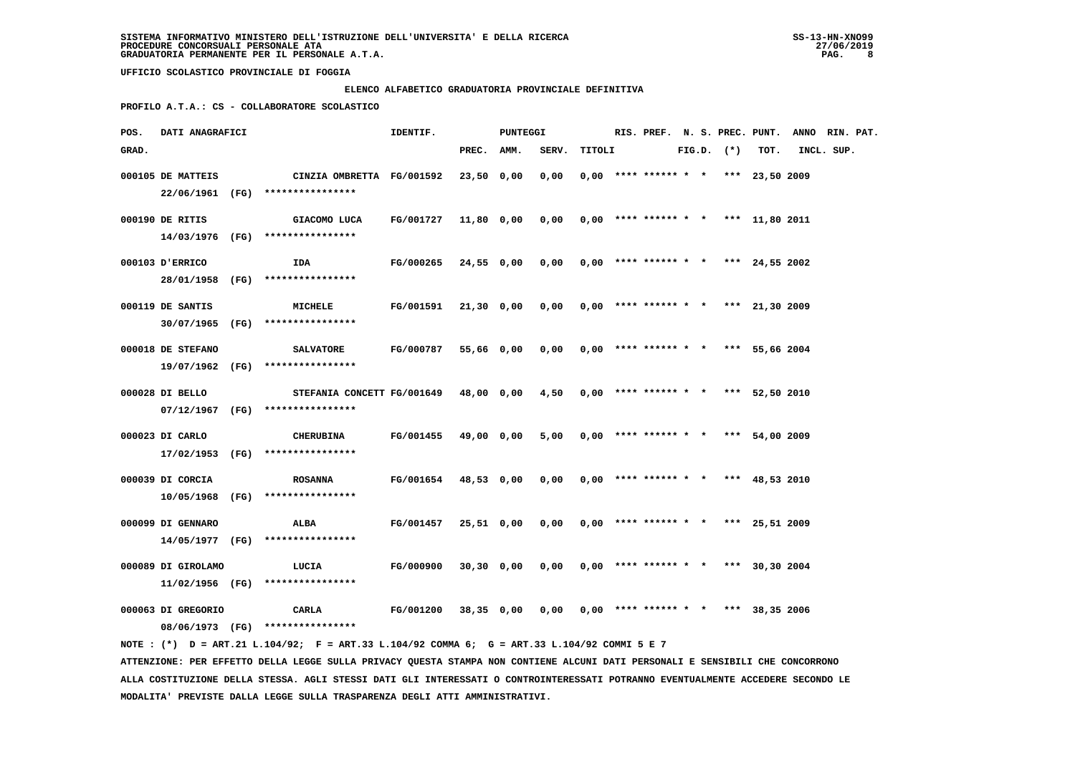### **ELENCO ALFABETICO GRADUATORIA PROVINCIALE DEFINITIVA**

 **PROFILO A.T.A.: CS - COLLABORATORE SCOLASTICO**

| POS.  | DATI ANAGRAFICI    |                                                                                                                                 | IDENTIF.                                                      |            | PUNTEGGI   |                                              |        |                                       |  |                |      | RIS. PREF. N. S. PREC. PUNT. ANNO RIN. PAT. |  |
|-------|--------------------|---------------------------------------------------------------------------------------------------------------------------------|---------------------------------------------------------------|------------|------------|----------------------------------------------|--------|---------------------------------------|--|----------------|------|---------------------------------------------|--|
| GRAD. |                    |                                                                                                                                 |                                                               | PREC. AMM. |            | SERV.                                        | TITOLI |                                       |  | $FIG.D.$ $(*)$ | TOT. | INCL. SUP.                                  |  |
|       | 000105 DE MATTEIS  | CINZIA OMBRETTA FG/001592<br>22/06/1961 (FG) ****************                                                                   |                                                               | 23,50 0,00 |            | 0.00                                         |        | $0.00$ **** ****** * * *** 23.50 2009 |  |                |      |                                             |  |
|       | 000190 DE RITIS    | GIACOMO LUCA<br>14/03/1976 (FG) *****************                                                                               | FG/001727                                                     |            | 11,80 0,00 | $0,00$ $0,00$ **** ****** * * *** 11,80 2011 |        |                                       |  |                |      |                                             |  |
|       | 000103 D'ERRICO    | IDA<br>28/01/1958 (FG) *****************                                                                                        | FG/000265                                                     |            | 24,55 0,00 | $0,00$ $0,00$ **** ****** * * *** 24,55 2002 |        |                                       |  |                |      |                                             |  |
|       | 000119 DE SANTIS   | MICHELE<br>30/07/1965 (FG) ****************                                                                                     | FG/001591                                                     |            | 21,30 0,00 | 0,00                                         |        | $0,00$ **** ****** * * *** 21,30 2009 |  |                |      |                                             |  |
|       | 000018 DE STEFANO  | <b>SALVATORE</b><br>19/07/1962 (FG) ****************                                                                            | FG/000787                                                     |            | 55,66 0,00 | 0,00                                         |        | $0,00$ **** ****** * * *** 55,66 2004 |  |                |      |                                             |  |
|       | 000028 DI BELLO    | STEFANIA CONCETT FG/001649 48,00 0,00 4,50 0,00 **** ****** * * *** 52,50 2010<br>07/12/1967 (FG) ****************              |                                                               |            |            |                                              |        |                                       |  |                |      |                                             |  |
|       | 000023 DI CARLO    | CHERUBINA                                                                                                                       | <b>FG/001455</b>                                              |            | 49,00 0,00 | $5,00$ 0,00 **** ****** * * *** 54,00 2009   |        |                                       |  |                |      |                                             |  |
|       | 000039 DI CORCIA   | 17/02/1953 (FG) ****************<br>ROSANNA                                                                                     | FG/001654 48,53 0,00                                          |            |            | $0,00$ $0,00$ **** ****** * * *** 48,53 2010 |        |                                       |  |                |      |                                             |  |
|       | 000099 DI GENNARO  | 10/05/1968 (FG) ****************<br><b>ALBA</b>                                                                                 | <b>FG/001457</b>                                              |            | 25,51 0,00 | $0,00$ $0,00$ **** ****** * * *** 25,51 2009 |        |                                       |  |                |      |                                             |  |
|       | 000089 DI GIROLAMO | 14/05/1977 (FG) ****************<br>LUCIA                                                                                       | FG/000900                                                     |            | 30,30 0,00 | $0,00$ $0,00$ **** ****** * * *** 30,30 2004 |        |                                       |  |                |      |                                             |  |
|       | 000063 DI GREGORIO | $11/02/1956$ (FG) ****************<br>CARLA                                                                                     | FG/001200 38,35 0,00 0,00 0,00 **** ****** * * *** 38,35 2006 |            |            |                                              |        |                                       |  |                |      |                                             |  |
|       |                    | 08/06/1973 (FG) ****************<br>NOTE: (*) D = ART.21 L.104/92; F = ART.33 L.104/92 COMMA 6; G = ART.33 L.104/92 COMMI 5 E 7 |                                                               |            |            |                                              |        |                                       |  |                |      |                                             |  |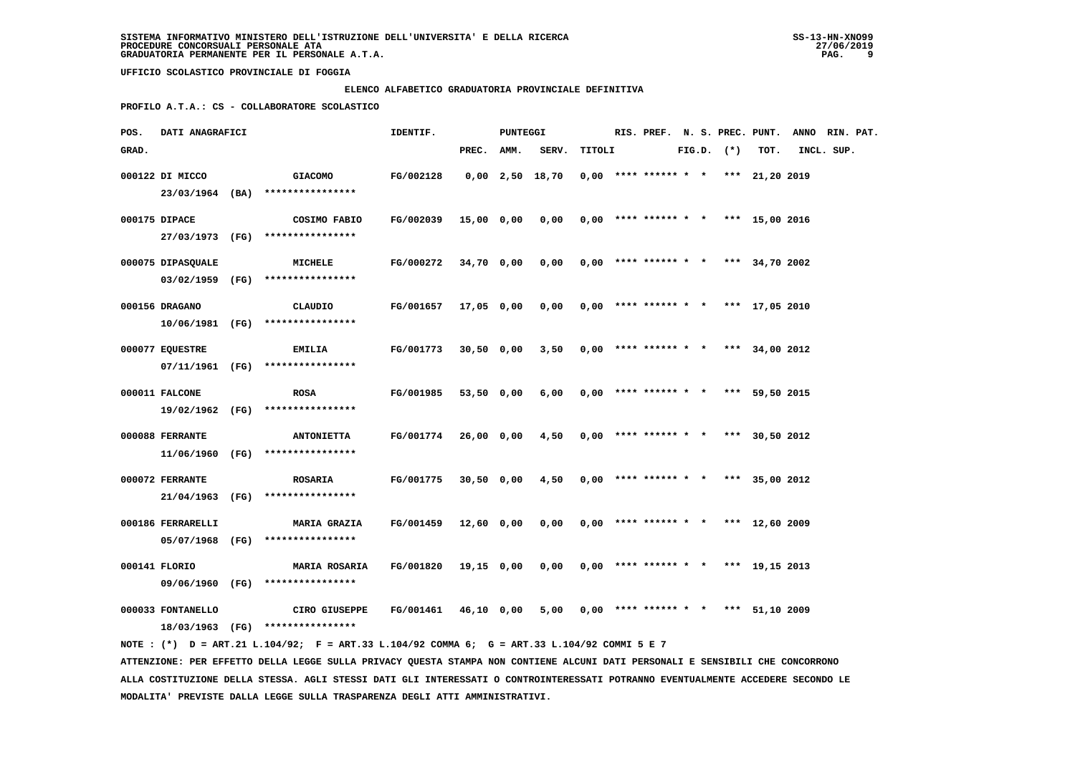**MODALITA' PREVISTE DALLA LEGGE SULLA TRASPARENZA DEGLI ATTI AMMINISTRATIVI.**

 **UFFICIO SCOLASTICO PROVINCIALE DI FOGGIA**

# **ELENCO ALFABETICO GRADUATORIA PROVINCIALE DEFINITIVA**

 **PROFILO A.T.A.: CS - COLLABORATORE SCOLASTICO**

| POS.  | DATI ANAGRAFICI   |                                                                                                                                                                                                                                                                  | IDENTIF.  |              | PUNTEGGI |                   |        |                        |  |                |                                       | RIS. PREF. N. S. PREC. PUNT. ANNO RIN. PAT. |  |
|-------|-------------------|------------------------------------------------------------------------------------------------------------------------------------------------------------------------------------------------------------------------------------------------------------------|-----------|--------------|----------|-------------------|--------|------------------------|--|----------------|---------------------------------------|---------------------------------------------|--|
| GRAD. |                   |                                                                                                                                                                                                                                                                  |           | PREC.        | AMM.     | SERV.             | TITOLI |                        |  | $FIG.D.$ $(*)$ | TOT.                                  | INCL. SUP.                                  |  |
|       | 000122 DI MICCO   | <b>GIACOMO</b>                                                                                                                                                                                                                                                   | FG/002128 |              |          | $0,00$ 2,50 18,70 |        | $0,00$ **** ****** * * |  |                | *** 21,20 2019                        |                                             |  |
|       |                   | 23/03/1964 (BA) ****************                                                                                                                                                                                                                                 |           |              |          |                   |        |                        |  |                |                                       |                                             |  |
|       |                   |                                                                                                                                                                                                                                                                  |           |              |          |                   |        |                        |  |                |                                       |                                             |  |
|       | 000175 DIPACE     | COSIMO FABIO                                                                                                                                                                                                                                                     | FG/002039 | 15,00 0,00   |          | 0,00              |        |                        |  |                | $0,00$ **** ****** * * *** 15,00 2016 |                                             |  |
|       |                   | 27/03/1973 (FG) ****************                                                                                                                                                                                                                                 |           |              |          |                   |        |                        |  |                |                                       |                                             |  |
|       | 000075 DIPASQUALE | MICHELE                                                                                                                                                                                                                                                          | FG/000272 | 34,70 0,00   |          | 0,00              |        |                        |  |                | $0,00$ **** ****** * * *** 34,70 2002 |                                             |  |
|       |                   | 03/02/1959 (FG) ****************                                                                                                                                                                                                                                 |           |              |          |                   |        |                        |  |                |                                       |                                             |  |
|       | 000156 DRAGANO    | CLAUDIO                                                                                                                                                                                                                                                          | FG/001657 | 17,05 0,00   |          | 0,00              |        |                        |  |                | $0,00$ **** ****** * * *** 17,05 2010 |                                             |  |
|       |                   | $10/06/1981$ (FG) *****************                                                                                                                                                                                                                              |           |              |          |                   |        |                        |  |                |                                       |                                             |  |
|       |                   |                                                                                                                                                                                                                                                                  |           |              |          |                   |        |                        |  |                |                                       |                                             |  |
|       | 000077 EQUESTRE   | <b>EMILIA</b>                                                                                                                                                                                                                                                    | FG/001773 | $30,50$ 0,00 |          | 3,50              |        | $0,00$ **** ****** * * |  |                | *** 34,00 2012                        |                                             |  |
|       |                   | 07/11/1961 (FG) ****************                                                                                                                                                                                                                                 |           |              |          |                   |        |                        |  |                |                                       |                                             |  |
|       | 000011 FALCONE    | <b>ROSA</b>                                                                                                                                                                                                                                                      | FG/001985 | 53,50 0,00   |          | 6,00              |        | $0.00$ **** ****** * * |  | ***            | 59,50 2015                            |                                             |  |
|       |                   | 19/02/1962 (FG) ****************                                                                                                                                                                                                                                 |           |              |          |                   |        |                        |  |                |                                       |                                             |  |
|       | 000088 FERRANTE   | <b>ANTONIETTA</b>                                                                                                                                                                                                                                                | FG/001774 | 26,00 0,00   |          | 4,50              |        |                        |  |                | $0.00$ **** ****** * * *** 30.50 2012 |                                             |  |
|       | 11/06/1960 (FG)   | ****************                                                                                                                                                                                                                                                 |           |              |          |                   |        |                        |  |                |                                       |                                             |  |
|       |                   |                                                                                                                                                                                                                                                                  |           |              |          |                   |        |                        |  |                |                                       |                                             |  |
|       | 000072 FERRANTE   | <b>ROSARIA</b>                                                                                                                                                                                                                                                   | FG/001775 | $30,50$ 0,00 |          | 4,50              |        | $0.00$ **** ****** * * |  |                | *** 35,00 2012                        |                                             |  |
|       |                   | 21/04/1963 (FG) ****************                                                                                                                                                                                                                                 |           |              |          |                   |        |                        |  |                |                                       |                                             |  |
|       | 000186 FERRARELLI | <b>MARIA GRAZIA</b>                                                                                                                                                                                                                                              | FG/001459 | 12,60 0,00   |          | 0,00              |        | $0.00$ **** ****** * * |  |                | *** $12,60$ 2009                      |                                             |  |
|       |                   | 05/07/1968 (FG) ****************                                                                                                                                                                                                                                 |           |              |          |                   |        |                        |  |                |                                       |                                             |  |
|       | 000141 FLORIO     | <b>MARIA ROSARIA</b>                                                                                                                                                                                                                                             | FG/001820 | 19,15 0,00   |          | 0,00              |        | $0,00$ **** ****** * * |  |                | *** 19,15 2013                        |                                             |  |
|       |                   | 09/06/1960 (FG) ****************                                                                                                                                                                                                                                 |           |              |          |                   |        |                        |  |                |                                       |                                             |  |
|       |                   |                                                                                                                                                                                                                                                                  |           |              |          |                   |        |                        |  |                |                                       |                                             |  |
|       | 000033 FONTANELLO | CIRO GIUSEPPE                                                                                                                                                                                                                                                    | FG/001461 | 46,10 0,00   |          | 5,00              |        | $0,00$ **** ****** * * |  |                | *** 51,10 2009                        |                                             |  |
|       |                   | 18/03/1963 (FG) ****************                                                                                                                                                                                                                                 |           |              |          |                   |        |                        |  |                |                                       |                                             |  |
|       |                   | NOTE: (*) D = ART.21 L.104/92; F = ART.33 L.104/92 COMMA 6; G = ART.33 L.104/92 COMMI 5 E 7                                                                                                                                                                      |           |              |          |                   |        |                        |  |                |                                       |                                             |  |
|       |                   | ATTENZIONE: PER EFFETTO DELLA LEGGE SULLA PRIVACY QUESTA STAMPA NON CONTIENE ALCUNI DATI PERSONALI E SENSIBILI CHE CONCORRONO<br>ALLA COSTITUZIONE DELLA STESSA. AGLI STESSI DATI GLI INTERESSATI O CONTROINTERESSATI POTRANNO EVENTUALMENTE ACCEDERE SECONDO LE |           |              |          |                   |        |                        |  |                |                                       |                                             |  |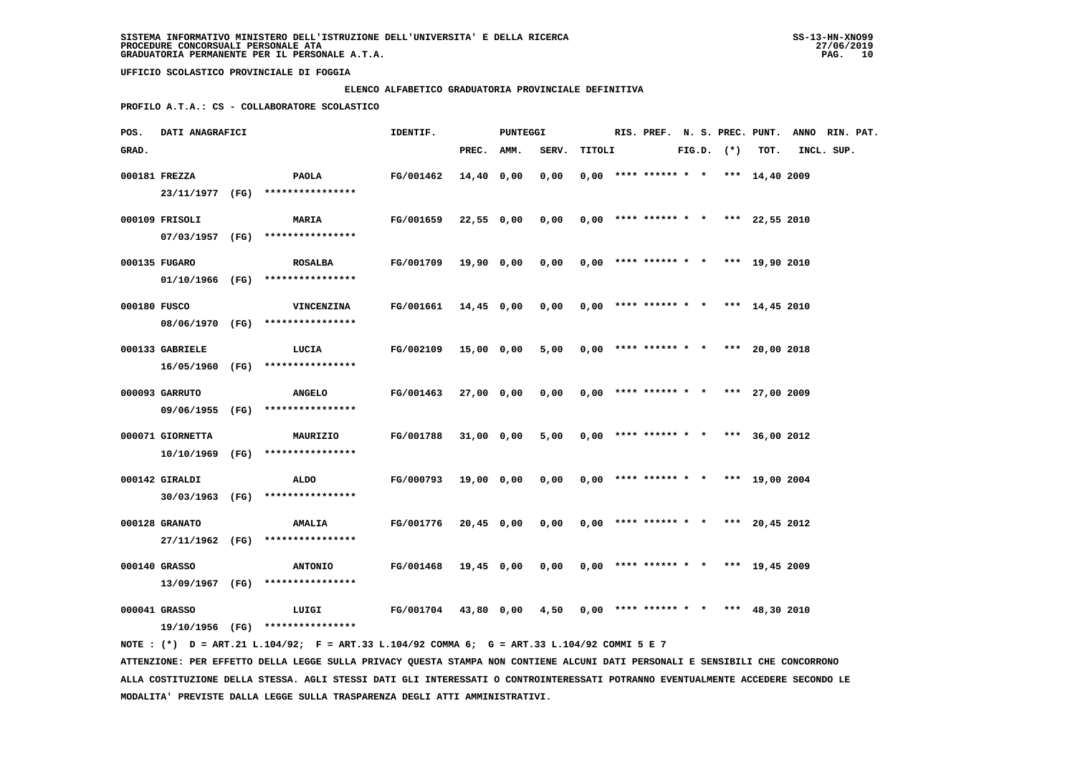### **ELENCO ALFABETICO GRADUATORIA PROVINCIALE DEFINITIVA**

 **PROFILO A.T.A.: CS - COLLABORATORE SCOLASTICO**

| POS.         | DATI ANAGRAFICI  |                                                                                             | IDENTIF.             |            | PUNTEGGI   |                                              |        |  |                                       |  |                |      | RIS. PREF. N. S. PREC. PUNT. ANNO RIN. PAT. |  |
|--------------|------------------|---------------------------------------------------------------------------------------------|----------------------|------------|------------|----------------------------------------------|--------|--|---------------------------------------|--|----------------|------|---------------------------------------------|--|
| GRAD.        |                  |                                                                                             |                      | PREC. AMM. |            | SERV.                                        | TITOLI |  |                                       |  | $FIG.D.$ $(*)$ | TOT. | INCL. SUP.                                  |  |
|              | 000181 FREZZA    | <b>PAOLA</b>                                                                                | FG/001462            | 14,40 0,00 |            | 0,00                                         |        |  | $0,00$ **** ****** * * *** 14,40 2009 |  |                |      |                                             |  |
|              |                  | 23/11/1977 (FG) ****************                                                            |                      |            |            |                                              |        |  |                                       |  |                |      |                                             |  |
|              | 000109 FRISOLI   | <b>MARIA</b>                                                                                | <b>FG/001659</b>     |            | 22,55 0,00 | 0,00                                         |        |  | $0,00$ **** ****** * * *** 22,55 2010 |  |                |      |                                             |  |
|              |                  | 07/03/1957 (FG) ****************                                                            |                      |            |            |                                              |        |  |                                       |  |                |      |                                             |  |
|              |                  |                                                                                             |                      |            |            |                                              |        |  |                                       |  |                |      |                                             |  |
|              | 000135 FUGARO    | <b>ROSALBA</b>                                                                              | FG/001709            |            | 19,90 0,00 | $0,00$ $0,00$ **** ****** * * *** 19,90 2010 |        |  |                                       |  |                |      |                                             |  |
|              |                  | $01/10/1966$ (FG) ****************                                                          |                      |            |            |                                              |        |  |                                       |  |                |      |                                             |  |
| 000180 FUSCO |                  | <b>VINCENZINA</b>                                                                           | FG/001661 14,45 0,00 |            |            | 0.00                                         |        |  | $0.00$ **** ****** * * *** 14,45 2010 |  |                |      |                                             |  |
|              |                  | 08/06/1970 (FG) ****************                                                            |                      |            |            |                                              |        |  |                                       |  |                |      |                                             |  |
|              |                  |                                                                                             |                      |            |            |                                              |        |  |                                       |  |                |      |                                             |  |
|              | 000133 GABRIELE  | LUCIA                                                                                       | FG/002109            |            | 15,00 0,00 | 5,00                                         |        |  | $0,00$ **** ****** * * *** 20,00 2018 |  |                |      |                                             |  |
|              |                  | 16/05/1960 (FG) ****************                                                            |                      |            |            |                                              |        |  |                                       |  |                |      |                                             |  |
|              | 000093 GARRUTO   | <b>ANGELO</b>                                                                               | FG/001463            |            | 27,00 0,00 | 0,00                                         |        |  | $0,00$ **** ****** * * *** 27,00 2009 |  |                |      |                                             |  |
|              |                  | 09/06/1955 (FG) *****************                                                           |                      |            |            |                                              |        |  |                                       |  |                |      |                                             |  |
|              |                  |                                                                                             |                      |            |            |                                              |        |  |                                       |  |                |      |                                             |  |
|              | 000071 GIORNETTA | MAURIZIO                                                                                    | FG/001788            |            | 31,00 0,00 | 5,00                                         |        |  | $0,00$ **** ****** * * *** 36,00 2012 |  |                |      |                                             |  |
|              |                  | 10/10/1969 (FG) ****************                                                            |                      |            |            |                                              |        |  |                                       |  |                |      |                                             |  |
|              | 000142 GIRALDI   | ALDO                                                                                        | FG/000793            |            | 19,00 0,00 | 0,00                                         |        |  | $0,00$ **** ****** * * *** 19,00 2004 |  |                |      |                                             |  |
|              |                  | 30/03/1963 (FG) ****************                                                            |                      |            |            |                                              |        |  |                                       |  |                |      |                                             |  |
|              | 000128 GRANATO   | <b>AMALIA</b>                                                                               | <b>FG/001776</b>     |            | 20,45 0,00 | 0,00                                         |        |  | $0,00$ **** ****** * * *** 20,45 2012 |  |                |      |                                             |  |
|              |                  | 27/11/1962 (FG) ****************                                                            |                      |            |            |                                              |        |  |                                       |  |                |      |                                             |  |
|              |                  |                                                                                             |                      |            |            |                                              |        |  |                                       |  |                |      |                                             |  |
|              | 000140 GRASSO    | <b>ANTONIO</b>                                                                              | FG/001468            |            | 19,45 0,00 | 0,00                                         |        |  | $0,00$ **** ****** * * *** 19,45 2009 |  |                |      |                                             |  |
|              |                  | 13/09/1967 (FG) ****************                                                            |                      |            |            |                                              |        |  |                                       |  |                |      |                                             |  |
|              | 000041 GRASSO    | LUIGI                                                                                       | FG/001704 43,80 0,00 |            |            | 4,50                                         |        |  | $0,00$ **** ****** * * *** 48,30 2010 |  |                |      |                                             |  |
|              |                  | 19/10/1956 (FG) ****************                                                            |                      |            |            |                                              |        |  |                                       |  |                |      |                                             |  |
|              |                  | NOTE: (*) D = ART.21 L.104/92; F = ART.33 L.104/92 COMMA 6; G = ART.33 L.104/92 COMMI 5 E 7 |                      |            |            |                                              |        |  |                                       |  |                |      |                                             |  |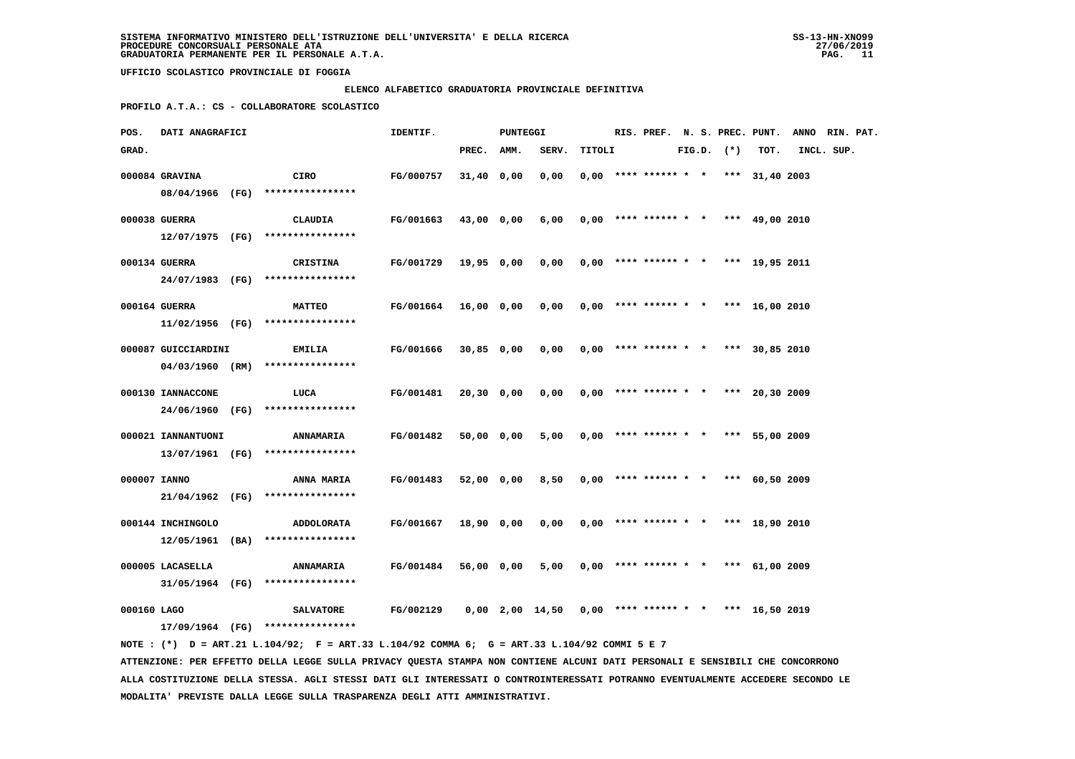### **ELENCO ALFABETICO GRADUATORIA PROVINCIALE DEFINITIVA**

 **PROFILO A.T.A.: CS - COLLABORATORE SCOLASTICO**

| POS.         | DATI ANAGRAFICI     |                                                                                             | IDENTIF.         |            | PUNTEGGI |                   |        |  |                                       |  |                |                | RIS. PREF. N. S. PREC. PUNT. ANNO RIN. PAT. |  |
|--------------|---------------------|---------------------------------------------------------------------------------------------|------------------|------------|----------|-------------------|--------|--|---------------------------------------|--|----------------|----------------|---------------------------------------------|--|
| GRAD.        |                     |                                                                                             |                  | PREC.      | AMM.     | SERV.             | TITOLI |  |                                       |  | $FIG.D.$ $(*)$ | TOT.           | INCL. SUP.                                  |  |
|              | 000084 GRAVINA      | CIRO                                                                                        | <b>FG/000757</b> | 31,40 0,00 |          | 0,00              |        |  | $0,00$ **** ****** * * *** 31,40 2003 |  |                |                |                                             |  |
|              |                     | 08/04/1966 (FG) ****************                                                            |                  |            |          |                   |        |  |                                       |  |                |                |                                             |  |
|              | 000038 GUERRA       | CLAUDIA                                                                                     | FG/001663        | 43,00 0,00 |          | 6,00              |        |  | $0,00$ **** ****** * * *** 49,00 2010 |  |                |                |                                             |  |
|              |                     | 12/07/1975 (FG) ****************                                                            |                  |            |          |                   |        |  |                                       |  |                |                |                                             |  |
|              | 000134 GUERRA       | CRISTINA                                                                                    | <b>FG/001729</b> | 19,95 0,00 |          | 0,00              |        |  | $0,00$ **** ****** * * *** 19,95 2011 |  |                |                |                                             |  |
|              |                     | 24/07/1983 (FG) ****************                                                            |                  |            |          |                   |        |  |                                       |  |                |                |                                             |  |
|              | 000164 GUERRA       | <b>MATTEO</b>                                                                               | <b>FG/001664</b> | 16,00 0,00 |          | 0,00              |        |  | $0,00$ **** ****** * * *** 16,00 2010 |  |                |                |                                             |  |
|              |                     | $11/02/1956$ (FG) *****************                                                         |                  |            |          |                   |        |  |                                       |  |                |                |                                             |  |
|              | 000087 GUICCIARDINI | <b>EMILIA</b>                                                                               | FG/001666        | 30,85 0,00 |          | 0,00              |        |  | $0.00$ **** ****** * *                |  |                | *** 30,85 2010 |                                             |  |
|              |                     | $04/03/1960$ (RM) ****************                                                          |                  |            |          |                   |        |  |                                       |  |                |                |                                             |  |
|              |                     |                                                                                             |                  |            |          |                   |        |  |                                       |  |                |                |                                             |  |
|              | 000130 IANNACCONE   | LUCA                                                                                        | FG/001481        | 20,30 0,00 |          | 0,00              |        |  | $0.00$ **** ****** * * *** 20.30 2009 |  |                |                |                                             |  |
|              |                     | 24/06/1960 (FG) ****************                                                            |                  |            |          |                   |        |  |                                       |  |                |                |                                             |  |
|              | 000021 IANNANTUONI  | <b>ANNAMARIA</b>                                                                            | FG/001482        | 50,00 0,00 |          | 5,00              |        |  | $0,00$ **** ****** * * *** 55,00 2009 |  |                |                |                                             |  |
|              |                     | 13/07/1961 (FG) *****************                                                           |                  |            |          |                   |        |  |                                       |  |                |                |                                             |  |
| 000007 IANNO |                     | ANNA MARIA                                                                                  | FG/001483        | 52,00 0,00 |          | 8,50              |        |  | $0.00$ **** ****** * * *** 60.50 2009 |  |                |                |                                             |  |
|              |                     | 21/04/1962 (FG) ****************                                                            |                  |            |          |                   |        |  |                                       |  |                |                |                                             |  |
|              | 000144 INCHINGOLO   | ADDOLORATA                                                                                  | FG/001667        | 18,90 0,00 |          | 0,00              |        |  | $0.00$ **** ****** * * *** 18,90 2010 |  |                |                |                                             |  |
|              | 12/05/1961 (BA)     | ****************                                                                            |                  |            |          |                   |        |  |                                       |  |                |                |                                             |  |
|              |                     |                                                                                             |                  |            |          |                   |        |  |                                       |  |                |                |                                             |  |
|              | 000005 LACASELLA    | <b>ANNAMARIA</b><br>31/05/1964 (FG) ****************                                        | FG/001484        | 56,00 0,00 |          | 5,00              |        |  | $0,00$ **** ****** * * *** 61,00 2009 |  |                |                |                                             |  |
|              |                     |                                                                                             |                  |            |          |                   |        |  |                                       |  |                |                |                                             |  |
| 000160 LAGO  |                     | <b>SALVATORE</b>                                                                            | FG/002129        |            |          | $0,00$ 2,00 14,50 |        |  | $0,00$ **** ****** * * *** 16,50 2019 |  |                |                |                                             |  |
|              |                     | 17/09/1964 (FG) ****************                                                            |                  |            |          |                   |        |  |                                       |  |                |                |                                             |  |
|              |                     | NOTE: (*) D = ART.21 L.104/92; F = ART.33 L.104/92 COMMA 6; G = ART.33 L.104/92 COMMI 5 E 7 |                  |            |          |                   |        |  |                                       |  |                |                |                                             |  |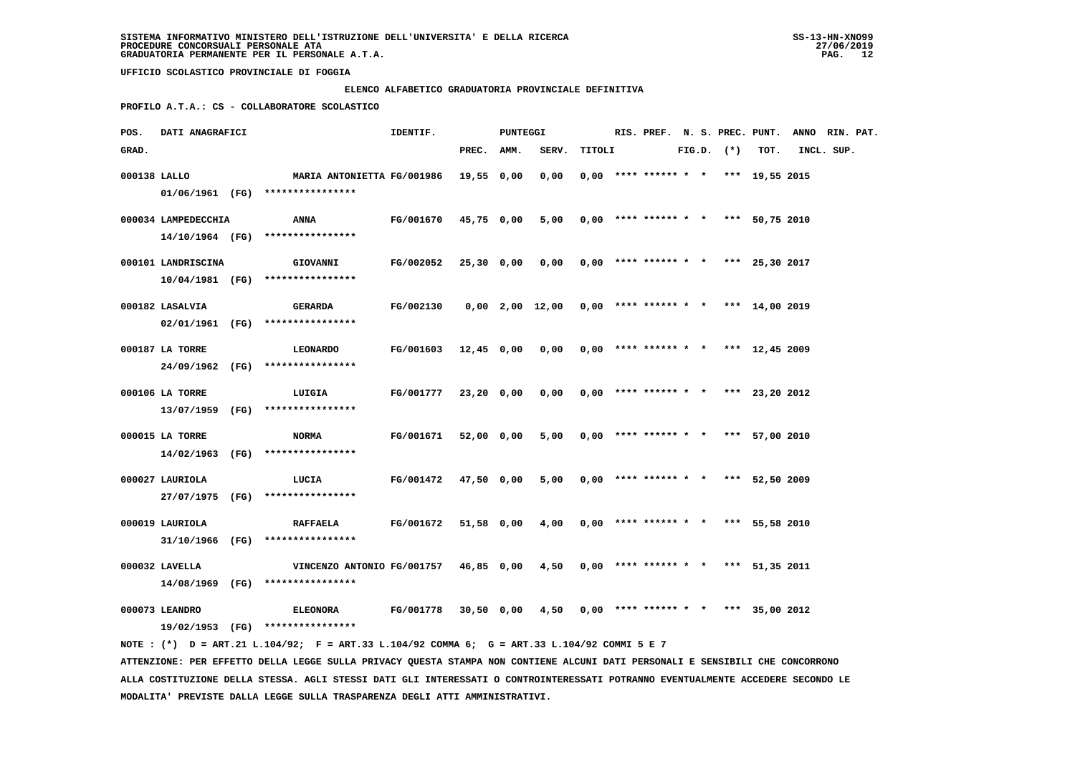**MODALITA' PREVISTE DALLA LEGGE SULLA TRASPARENZA DEGLI ATTI AMMINISTRATIVI.**

 **UFFICIO SCOLASTICO PROVINCIALE DI FOGGIA**

# **ELENCO ALFABETICO GRADUATORIA PROVINCIALE DEFINITIVA**

 **PROFILO A.T.A.: CS - COLLABORATORE SCOLASTICO**

| POS.         | DATI ANAGRAFICI     |                                                                                                                                 | IDENTIF.  |              | <b>PUNTEGGI</b> |                       |        |                        |  |                |                                       | RIS. PREF. N. S. PREC. PUNT. ANNO RIN. PAT. |  |
|--------------|---------------------|---------------------------------------------------------------------------------------------------------------------------------|-----------|--------------|-----------------|-----------------------|--------|------------------------|--|----------------|---------------------------------------|---------------------------------------------|--|
| GRAD.        |                     |                                                                                                                                 |           | PREC. AMM.   |                 | SERV.                 | TITOLI |                        |  | $FIG.D.$ $(*)$ | TOT.                                  | INCL. SUP.                                  |  |
| 000138 LALLO |                     | <b>MARIA ANTONIETTA FG/001986</b>                                                                                               |           | 19,55 0,00   |                 | 0,00                  |        | $0,00$ **** ****** * * |  |                | *** 19,55 2015                        |                                             |  |
|              |                     | 01/06/1961 (FG) ****************                                                                                                |           |              |                 |                       |        |                        |  |                |                                       |                                             |  |
|              | 000034 LAMPEDECCHIA | ANNA                                                                                                                            | FG/001670 | 45,75 0,00   |                 | 5,00                  |        |                        |  |                | $0,00$ **** ****** * * *** 50,75 2010 |                                             |  |
|              |                     | 14/10/1964 (FG) ****************                                                                                                |           |              |                 |                       |        |                        |  |                |                                       |                                             |  |
|              |                     |                                                                                                                                 |           |              |                 |                       |        |                        |  |                |                                       |                                             |  |
|              | 000101 LANDRISCINA  | GIOVANNI                                                                                                                        | FG/002052 | 25,30 0,00   |                 | 0,00                  |        |                        |  |                | $0,00$ **** ****** * * *** 25,30 2017 |                                             |  |
|              |                     | $10/04/1981$ (FG) *****************                                                                                             |           |              |                 |                       |        |                        |  |                |                                       |                                             |  |
|              | 000182 LASALVIA     | <b>GERARDA</b>                                                                                                                  | FG/002130 |              |                 | $0,00$ $2,00$ $12,00$ |        |                        |  |                | $0,00$ **** ****** * * *** 14,00 2019 |                                             |  |
|              |                     | 02/01/1961 (FG) ****************                                                                                                |           |              |                 |                       |        |                        |  |                |                                       |                                             |  |
|              | 000187 LA TORRE     | LEONARDO                                                                                                                        | FG/001603 | $12,45$ 0,00 |                 | 0,00                  |        | $0,00$ **** ****** * * |  |                | *** 12,45 2009                        |                                             |  |
|              |                     | 24/09/1962 (FG) ****************                                                                                                |           |              |                 |                       |        |                        |  |                |                                       |                                             |  |
|              |                     |                                                                                                                                 |           |              |                 |                       |        |                        |  |                |                                       |                                             |  |
|              | 000106 LA TORRE     | LUIGIA                                                                                                                          | FG/001777 | $23,20$ 0,00 |                 | 0,00                  |        |                        |  |                | $0,00$ **** ****** * * *** 23,20 2012 |                                             |  |
|              |                     | 13/07/1959 (FG) ****************                                                                                                |           |              |                 |                       |        |                        |  |                |                                       |                                             |  |
|              | 000015 LA TORRE     | <b>NORMA</b>                                                                                                                    | FG/001671 | 52,00 0,00   |                 | 5,00                  |        |                        |  |                | $0,00$ **** ****** * * *** 57,00 2010 |                                             |  |
|              |                     | 14/02/1963 (FG) ****************                                                                                                |           |              |                 |                       |        |                        |  |                |                                       |                                             |  |
|              | 000027 LAURIOLA     | LUCIA                                                                                                                           | FG/001472 | 47,50 0,00   |                 | 5,00                  |        |                        |  |                | $0,00$ **** ****** * * *** 52,50 2009 |                                             |  |
|              |                     | 27/07/1975 (FG) ****************                                                                                                |           |              |                 |                       |        |                        |  |                |                                       |                                             |  |
|              |                     |                                                                                                                                 |           |              |                 |                       |        |                        |  |                |                                       |                                             |  |
|              | 000019 LAURIOLA     | <b>RAFFAELA</b>                                                                                                                 | FG/001672 | 51,58 0,00   |                 | 4,00                  |        |                        |  |                | $0,00$ **** ****** * * *** 55,58 2010 |                                             |  |
|              |                     | 31/10/1966 (FG) ****************                                                                                                |           |              |                 |                       |        |                        |  |                |                                       |                                             |  |
|              | 000032 LAVELLA      | VINCENZO ANTONIO FG/001757                                                                                                      |           | 46,85 0,00   |                 | 4,50                  |        |                        |  |                | $0,00$ **** ****** * * *** 51,35 2011 |                                             |  |
|              |                     | 14/08/1969 (FG) ****************                                                                                                |           |              |                 |                       |        |                        |  |                |                                       |                                             |  |
|              | 000073 LEANDRO      | <b>ELEONORA</b>                                                                                                                 | FG/001778 | 30,50 0,00   |                 | 4,50                  |        |                        |  |                | $0,00$ **** ****** * * *** 35,00 2012 |                                             |  |
|              |                     | 19/02/1953 (FG) ****************                                                                                                |           |              |                 |                       |        |                        |  |                |                                       |                                             |  |
|              |                     | NOTE: (*) D = ART.21 L.104/92; F = ART.33 L.104/92 COMMA 6; G = ART.33 L.104/92 COMMI 5 E 7                                     |           |              |                 |                       |        |                        |  |                |                                       |                                             |  |
|              |                     | ATTENZIONE: PER EFFETTO DELLA LEGGE SULLA PRIVACY QUESTA STAMPA NON CONTIENE ALCUNI DATI PERSONALI E SENSIBILI CHE CONCORRONO   |           |              |                 |                       |        |                        |  |                |                                       |                                             |  |
|              |                     | ALLA COSTITUZIONE DELLA STESSA. AGLI STESSI DATI GLI INTERESSATI O CONTROINTERESSATI POTRANNO EVENTUALMENTE ACCEDERE SECONDO LE |           |              |                 |                       |        |                        |  |                |                                       |                                             |  |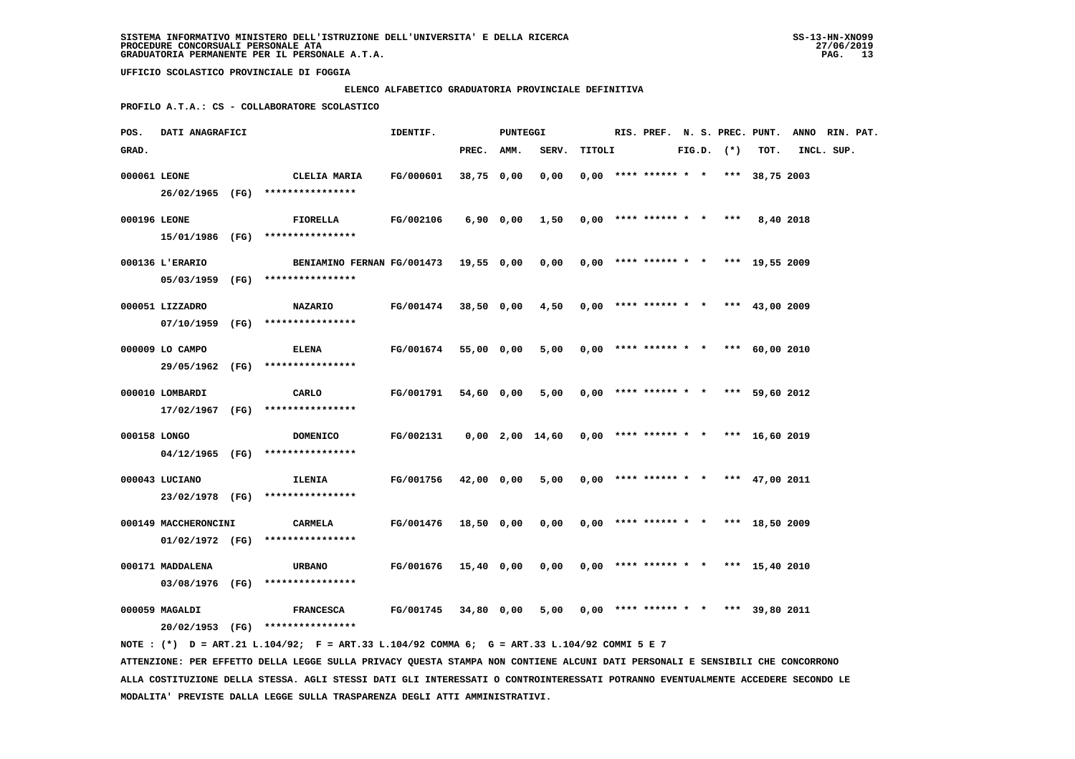### **ELENCO ALFABETICO GRADUATORIA PROVINCIALE DEFINITIVA**

 **PROFILO A.T.A.: CS - COLLABORATORE SCOLASTICO**

| POS.         | DATI ANAGRAFICI      |                                                                                             | IDENTIF.             |            | <b>PUNTEGGI</b> |                                                     |        |                                       |  |                |      | RIS. PREF. N. S. PREC. PUNT. ANNO RIN. PAT. |  |
|--------------|----------------------|---------------------------------------------------------------------------------------------|----------------------|------------|-----------------|-----------------------------------------------------|--------|---------------------------------------|--|----------------|------|---------------------------------------------|--|
| GRAD.        |                      |                                                                                             |                      | PREC. AMM. |                 | SERV.                                               | TITOLI |                                       |  | $FIG.D.$ $(*)$ | TOT. | INCL. SUP.                                  |  |
| 000061 LEONE |                      | CLELIA MARIA<br>26/02/1965 (FG) ****************                                            | FG/000601            | 38,75 0,00 |                 | 0,00                                                |        | $0,00$ **** ****** * * *** 38,75 2003 |  |                |      |                                             |  |
| 000196 LEONE |                      | <b>FIORELLA</b>                                                                             | <b>FG/002106</b>     |            |                 | 6,90 0,00 1,50 0,00 **** ****** * *** 8,40 2018     |        |                                       |  |                |      |                                             |  |
|              | 000136 L'ERARIO      | 15/01/1986 (FG) ****************<br>BENIAMINO FERNAN FG/001473 19,55 0,00                   |                      |            |                 | $0,00$ 0,00 **** ****** * * *** 19,55 2009          |        |                                       |  |                |      |                                             |  |
|              |                      | 05/03/1959 (FG) ****************                                                            |                      |            |                 |                                                     |        |                                       |  |                |      |                                             |  |
|              | 000051 LIZZADRO      | <b>NAZARIO</b><br>07/10/1959 (FG) *****************                                         | FG/001474            | 38,50 0,00 |                 | 4,50                                                |        | $0,00$ **** ****** * * *** 43,00 2009 |  |                |      |                                             |  |
|              | 000009 LO CAMPO      | <b>ELENA</b>                                                                                | FG/001674            | 55,00 0,00 |                 | 5,00                                                |        | $0.00$ **** ****** * * *** 60.00 2010 |  |                |      |                                             |  |
|              |                      | 29/05/1962 (FG) ****************                                                            |                      |            |                 |                                                     |        |                                       |  |                |      |                                             |  |
|              | 000010 LOMBARDI      | CARLO<br>17/02/1967 (FG) ****************                                                   | FG/001791            | 54,60 0,00 |                 | 5,00                                                |        | $0.00$ **** ****** * * *** 59.60 2012 |  |                |      |                                             |  |
| 000158 LONGO |                      | <b>DOMENICO</b>                                                                             | FG/002131            |            |                 | $0,00$ 2,00 14,60 0,00 **** ****** * *** 16,60 2019 |        |                                       |  |                |      |                                             |  |
|              | 000043 LUCIANO       | $04/12/1965$ (FG) *****************<br><b>ILENIA</b>                                        | <b>FG/001756</b>     | 42,00 0,00 |                 | 5,00                                                |        | $0,00$ **** ****** * * *** 47,00 2011 |  |                |      |                                             |  |
|              | 000149 MACCHERONCINI | 23/02/1978 (FG) *****************<br>CARMELA                                                | FG/001476 18,50 0,00 |            |                 | 0,00                                                |        | $0.00$ **** ****** * * *** 18.50 2009 |  |                |      |                                             |  |
|              |                      | $01/02/1972$ (FG) ****************                                                          |                      |            |                 |                                                     |        |                                       |  |                |      |                                             |  |
|              | 000171 MADDALENA     | <b>URBANO</b><br>03/08/1976 (FG) ****************                                           | <b>FG/001676</b>     | 15,40 0,00 |                 | 0,00                                                |        | $0,00$ **** ****** * * *** 15,40 2010 |  |                |      |                                             |  |
|              | 000059 MAGALDI       | <b>FRANCESCA</b><br>20/02/1953 (FG) ****************                                        | <b>FG/001745</b>     | 34,80 0,00 |                 | 5,00                                                |        | $0,00$ **** ****** * * *** 39,80 2011 |  |                |      |                                             |  |
|              |                      | NOTE: (*) D = ART.21 L.104/92; F = ART.33 L.104/92 COMMA 6; G = ART.33 L.104/92 COMMI 5 E 7 |                      |            |                 |                                                     |        |                                       |  |                |      |                                             |  |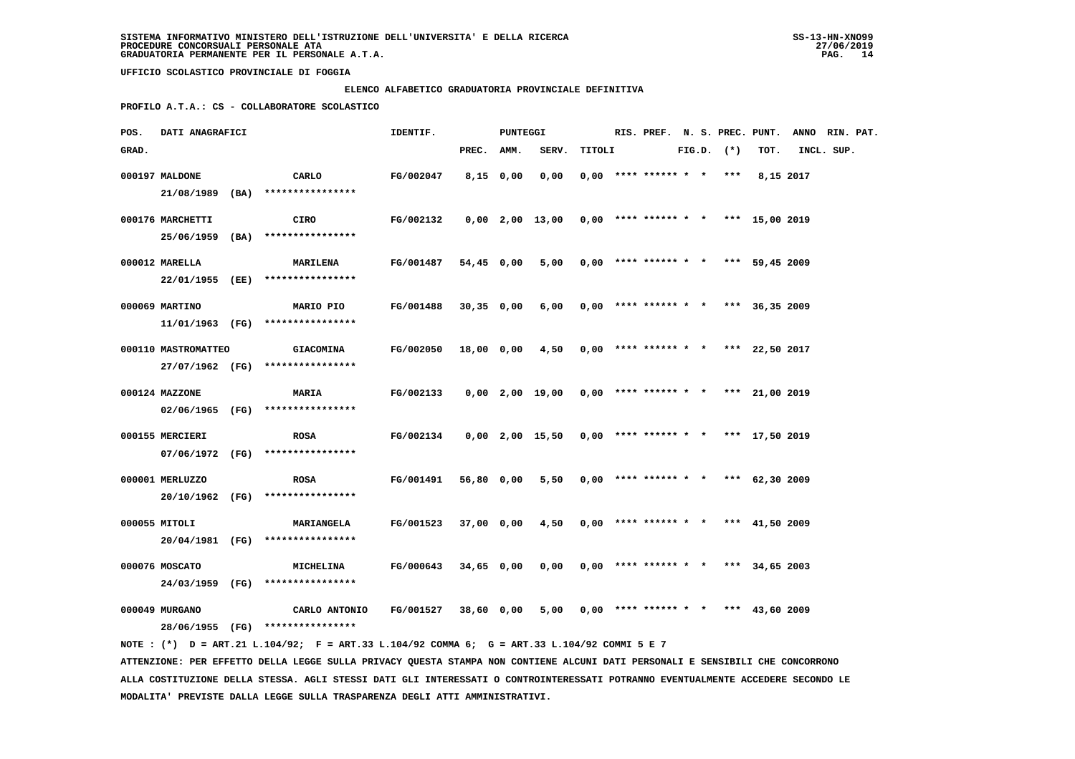### **ELENCO ALFABETICO GRADUATORIA PROVINCIALE DEFINITIVA**

 **PROFILO A.T.A.: CS - COLLABORATORE SCOLASTICO**

| POS.  | <b>DATI ANAGRAFICI</b> |                                                                                             | IDENTIF.                                                              |             | PUNTEGGI |                                                       |  |                            |  |                |                                              | RIS. PREF. N. S. PREC. PUNT. ANNO RIN. PAT. |  |
|-------|------------------------|---------------------------------------------------------------------------------------------|-----------------------------------------------------------------------|-------------|----------|-------------------------------------------------------|--|----------------------------|--|----------------|----------------------------------------------|---------------------------------------------|--|
| GRAD. |                        |                                                                                             |                                                                       | PREC. AMM.  |          | SERV. TITOLI                                          |  |                            |  | $FIG.D.$ $(*)$ | тот.                                         | INCL. SUP.                                  |  |
|       | 000197 MALDONE         | CARLO                                                                                       | FG/002047                                                             | $8,15$ 0,00 |          | 0,00                                                  |  | $0,00$ **** ****** * * *** |  |                | 8,15 2017                                    |                                             |  |
|       |                        | 21/08/1989 (BA) ****************                                                            |                                                                       |             |          |                                                       |  |                            |  |                |                                              |                                             |  |
|       | 000176 MARCHETTI       | CIRO                                                                                        | FG/002132                                                             |             |          | $0,00$ 2,00 13,00 0,00 **** ****** * * *** 15,00 2019 |  |                            |  |                |                                              |                                             |  |
|       |                        | 25/06/1959 (BA) ****************                                                            |                                                                       |             |          |                                                       |  |                            |  |                |                                              |                                             |  |
|       |                        |                                                                                             |                                                                       |             |          |                                                       |  |                            |  |                |                                              |                                             |  |
|       | 000012 MARELLA         | <b>MARILENA</b>                                                                             | FG/001487                                                             | 54,45 0,00  |          |                                                       |  |                            |  |                | 5,00 0,00 **** ****** * * *** 59,45 2009     |                                             |  |
|       |                        | 22/01/1955 (EE) ****************                                                            |                                                                       |             |          |                                                       |  |                            |  |                |                                              |                                             |  |
|       | 000069 MARTINO         | <b>MARIO PIO</b>                                                                            | FG/001488                                                             | 30,35 0,00  |          | $6,00$ 0,00 **** ****** * * *** 36,35 2009            |  |                            |  |                |                                              |                                             |  |
|       |                        | $11/01/1963$ (FG) *****************                                                         |                                                                       |             |          |                                                       |  |                            |  |                |                                              |                                             |  |
|       | 000110 MASTROMATTEO    | <b>GIACOMINA</b>                                                                            | FG/002050                                                             |             |          | 18,00 0,00 4,50 0,00 **** ****** * *** 22,50 2017     |  |                            |  |                |                                              |                                             |  |
|       |                        | 27/07/1962 (FG) ****************                                                            |                                                                       |             |          |                                                       |  |                            |  |                |                                              |                                             |  |
|       |                        |                                                                                             |                                                                       |             |          |                                                       |  |                            |  |                |                                              |                                             |  |
|       | 000124 MAZZONE         | <b>MARIA</b>                                                                                | FG/002133                                                             |             |          | 0,00 2,00 19,00 0,00 **** ****** * *** 21,00 2019     |  |                            |  |                |                                              |                                             |  |
|       |                        | 02/06/1965 (FG) ****************                                                            |                                                                       |             |          |                                                       |  |                            |  |                |                                              |                                             |  |
|       | 000155 MERCIERI        | <b>ROSA</b>                                                                                 | FG/002134  0,00  2,00  15,50  0,00  ****  ******  *  ***  17,50  2019 |             |          |                                                       |  |                            |  |                |                                              |                                             |  |
|       |                        | 07/06/1972 (FG) ****************                                                            |                                                                       |             |          |                                                       |  |                            |  |                |                                              |                                             |  |
|       | 000001 MERLUZZO        | <b>ROSA</b>                                                                                 | FG/001491                                                             | 56,80 0,00  |          |                                                       |  |                            |  |                | 5,50 0,00 **** ****** * * *** 62,30 2009     |                                             |  |
|       |                        | 20/10/1962 (FG) ****************                                                            |                                                                       |             |          |                                                       |  |                            |  |                |                                              |                                             |  |
|       |                        |                                                                                             |                                                                       |             |          |                                                       |  |                            |  |                |                                              |                                             |  |
|       | 000055 MITOLI          | <b>MARIANGELA</b>                                                                           | $FG/001523$ 37,00 0,00 4,50 0,00 **** ****** * * *** 41,50 2009       |             |          |                                                       |  |                            |  |                |                                              |                                             |  |
|       |                        | 20/04/1981 (FG) ****************                                                            |                                                                       |             |          |                                                       |  |                            |  |                |                                              |                                             |  |
|       | 000076 MOSCATO         | <b>MICHELINA</b>                                                                            | FG/000643 34,65 0,00                                                  |             |          |                                                       |  |                            |  |                | $0,00$ $0,00$ **** ****** * * *** 34,65 2003 |                                             |  |
|       |                        | 24/03/1959 (FG) ****************                                                            |                                                                       |             |          |                                                       |  |                            |  |                |                                              |                                             |  |
|       | 000049 MURGANO         | CARLO ANTONIO                                                                               | FG/001527                                                             | 38,60 0,00  |          | $5,00$ 0,00 **** ****** * * *** 43,60 2009            |  |                            |  |                |                                              |                                             |  |
|       |                        | 28/06/1955 (FG) *****************                                                           |                                                                       |             |          |                                                       |  |                            |  |                |                                              |                                             |  |
|       |                        | NOTE: (*) D = ART.21 L.104/92; F = ART.33 L.104/92 COMMA 6; G = ART.33 L.104/92 COMMI 5 E 7 |                                                                       |             |          |                                                       |  |                            |  |                |                                              |                                             |  |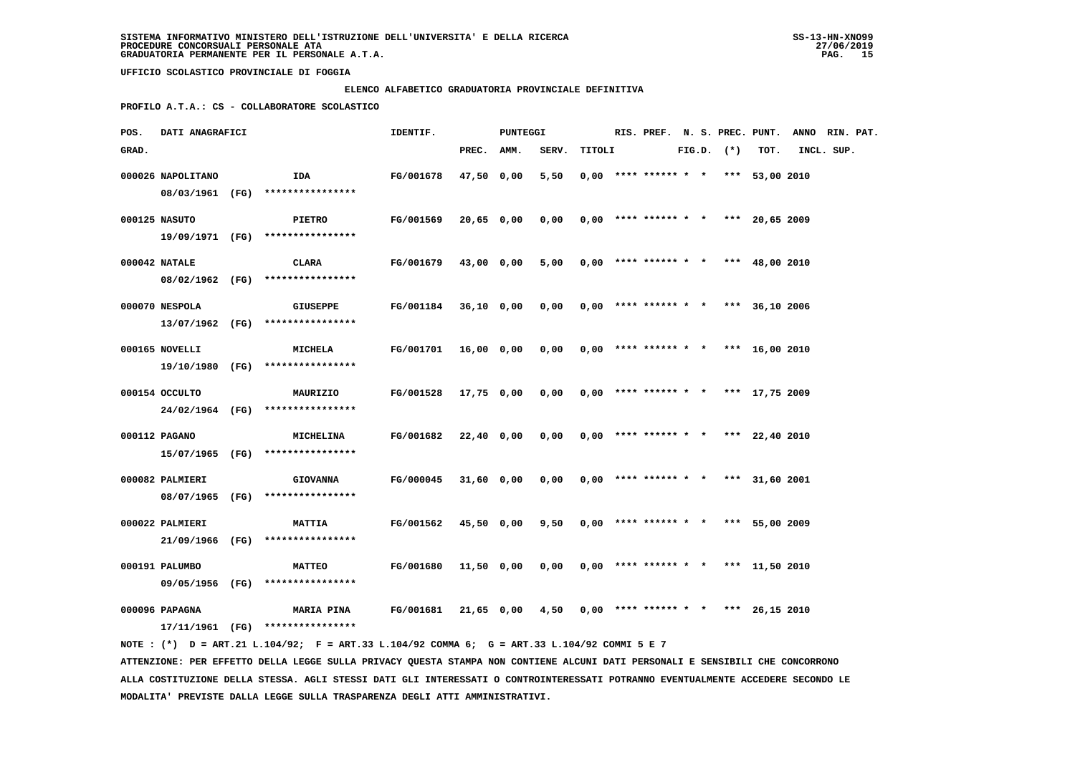### **ELENCO ALFABETICO GRADUATORIA PROVINCIALE DEFINITIVA**

 **PROFILO A.T.A.: CS - COLLABORATORE SCOLASTICO**

| POS.  | DATI ANAGRAFICI   |                                                                                             | IDENTIF.         |            | PUNTEGGI   |                                            |        |                                       |  |                |      | RIS. PREF. N. S. PREC. PUNT. ANNO RIN. PAT. |  |
|-------|-------------------|---------------------------------------------------------------------------------------------|------------------|------------|------------|--------------------------------------------|--------|---------------------------------------|--|----------------|------|---------------------------------------------|--|
| GRAD. |                   |                                                                                             |                  | PREC. AMM. |            | SERV.                                      | TITOLI |                                       |  | $FIG.D.$ $(*)$ | TOT. | INCL. SUP.                                  |  |
|       | 000026 NAPOLITANO | IDA                                                                                         | FG/001678        | 47,50 0,00 |            | 5,50                                       |        | $0,00$ **** ****** * * *** 53,00 2010 |  |                |      |                                             |  |
|       |                   | 08/03/1961 (FG) ****************                                                            |                  |            |            |                                            |        |                                       |  |                |      |                                             |  |
|       | 000125 NASUTO     | <b>PIETRO</b>                                                                               | <b>FG/001569</b> |            | 20,65 0,00 | 0,00                                       |        | $0,00$ **** ****** * * *** 20,65 2009 |  |                |      |                                             |  |
|       |                   | 19/09/1971 (FG) ****************                                                            |                  |            |            |                                            |        |                                       |  |                |      |                                             |  |
|       | 000042 NATALE     | CLARA                                                                                       | FG/001679        |            | 43,00 0,00 | $5,00$ 0,00 **** ****** * * *** 48,00 2010 |        |                                       |  |                |      |                                             |  |
|       |                   | 08/02/1962 (FG) ****************                                                            |                  |            |            |                                            |        |                                       |  |                |      |                                             |  |
|       | 000070 NESPOLA    | <b>GIUSEPPE</b>                                                                             | FG/001184        |            | 36,10 0,00 | 0,00                                       |        | $0,00$ **** ****** * * *** 36,10 2006 |  |                |      |                                             |  |
|       |                   | 13/07/1962 (FG) ****************                                                            |                  |            |            |                                            |        |                                       |  |                |      |                                             |  |
|       |                   |                                                                                             |                  |            |            |                                            |        |                                       |  |                |      |                                             |  |
|       | 000165 NOVELLI    | <b>MICHELA</b>                                                                              | FG/001701        |            | 16,00 0,00 | 0,00                                       |        | $0,00$ **** ****** * * *** 16,00 2010 |  |                |      |                                             |  |
|       |                   | 19/10/1980 (FG) ****************                                                            |                  |            |            |                                            |        |                                       |  |                |      |                                             |  |
|       | 000154 OCCULTO    | <b>MAURIZIO</b>                                                                             | FG/001528        |            | 17,75 0,00 | 0,00                                       |        | $0.00$ **** ****** * * *** 17.75 2009 |  |                |      |                                             |  |
|       |                   | 24/02/1964 (FG) ****************                                                            |                  |            |            |                                            |        |                                       |  |                |      |                                             |  |
|       | 000112 PAGANO     | <b>MICHELINA</b>                                                                            | FG/001682        |            | 22,40 0,00 | 0,00                                       |        | $0,00$ **** ****** * * *** 22,40 2010 |  |                |      |                                             |  |
|       |                   | 15/07/1965 (FG) ****************                                                            |                  |            |            |                                            |        |                                       |  |                |      |                                             |  |
|       | 000082 PALMIERI   | <b>GIOVANNA</b>                                                                             | FG/000045        |            | 31,60 0,00 | 0,00                                       |        | $0,00$ **** ****** * * *** 31,60 2001 |  |                |      |                                             |  |
|       |                   | 08/07/1965 (FG) *****************                                                           |                  |            |            |                                            |        |                                       |  |                |      |                                             |  |
|       |                   |                                                                                             |                  |            |            |                                            |        |                                       |  |                |      |                                             |  |
|       | 000022 PALMIERI   | <b>MATTIA</b>                                                                               | FG/001562        |            | 45,50 0,00 | 9,50                                       |        | $0.00$ **** ****** * * *** 55.00 2009 |  |                |      |                                             |  |
|       |                   | 21/09/1966 (FG) ****************                                                            |                  |            |            |                                            |        |                                       |  |                |      |                                             |  |
|       | 000191 PALUMBO    | <b>MATTEO</b>                                                                               | FG/001680        |            | 11,50 0,00 | 0,00                                       |        | $0,00$ **** ****** * * *** 11,50 2010 |  |                |      |                                             |  |
|       |                   | 09/05/1956 (FG) ****************                                                            |                  |            |            |                                            |        |                                       |  |                |      |                                             |  |
|       | 000096 PAPAGNA    | <b>MARIA PINA</b>                                                                           | FG/001681        |            | 21,65 0,00 | 4,50                                       |        | $0,00$ **** ****** * * *** 26,15 2010 |  |                |      |                                             |  |
|       |                   | $17/11/1961$ (FG) ****************                                                          |                  |            |            |                                            |        |                                       |  |                |      |                                             |  |
|       |                   | NOTE: (*) D = ART.21 L.104/92; F = ART.33 L.104/92 COMMA 6; G = ART.33 L.104/92 COMMI 5 E 7 |                  |            |            |                                            |        |                                       |  |                |      |                                             |  |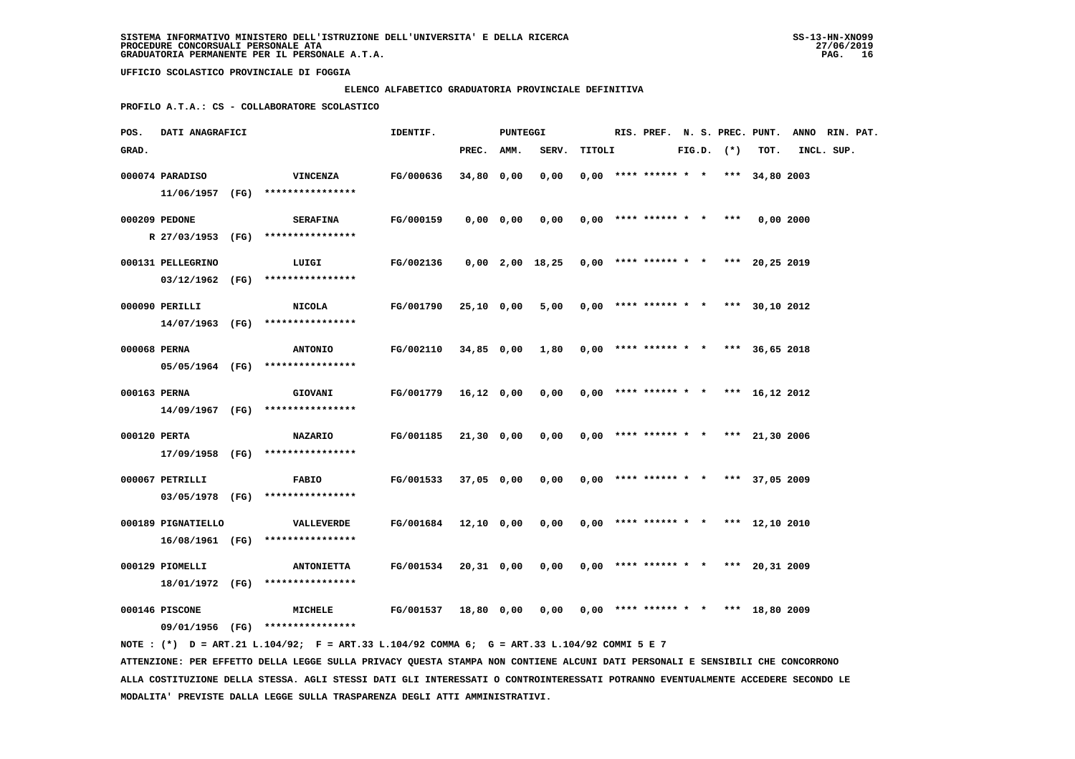### **ELENCO ALFABETICO GRADUATORIA PROVINCIALE DEFINITIVA**

 **PROFILO A.T.A.: CS - COLLABORATORE SCOLASTICO**

| POS.         | <b>DATI ANAGRAFICI</b> |                                                                                                                                 | IDENTIF.             |            | PUNTEGGI  |                                                     |        |                                       |  |                |          | RIS. PREF. N. S. PREC. PUNT. ANNO RIN. PAT. |  |
|--------------|------------------------|---------------------------------------------------------------------------------------------------------------------------------|----------------------|------------|-----------|-----------------------------------------------------|--------|---------------------------------------|--|----------------|----------|---------------------------------------------|--|
| GRAD.        |                        |                                                                                                                                 |                      | PREC. AMM. |           | SERV.                                               | TITOLI |                                       |  | $FIG.D.$ $(*)$ | TOT.     | INCL. SUP.                                  |  |
|              | 000074 PARADISO        | <b>VINCENZA</b><br>11/06/1957 (FG) ****************                                                                             | FG/000636            | 34,80 0,00 |           | 0,00                                                |        | $0,00$ **** ****** * * *** 34,80 2003 |  |                |          |                                             |  |
|              | 000209 PEDONE          | <b>SERAFINA</b><br>R 27/03/1953 (FG) ****************                                                                           | FG/000159            |            | 0,00 0,00 | 0,00                                                |        | $0,00$ **** ****** * * ***            |  |                | 0,002000 |                                             |  |
|              | 000131 PELLEGRINO      | LUIGI                                                                                                                           | FG/002136            |            |           | $0,00$ 2,00 18,25 0,00 **** ****** * *** 20,25 2019 |        |                                       |  |                |          |                                             |  |
|              | 000090 PERILLI         | 03/12/1962 (FG) ****************<br><b>NICOLA</b>                                                                               | FG/001790            | 25,10 0,00 |           | 5,00                                                |        | $0,00$ **** ****** * * *** 30,10 2012 |  |                |          |                                             |  |
| 000068 PERNA |                        | 14/07/1963 (FG) ****************<br><b>ANTONIO</b>                                                                              | FG/002110            |            |           | 34,85 0,00 1,80                                     |        | $0,00$ **** ****** * * *** 36,65 2018 |  |                |          |                                             |  |
|              |                        | 05/05/1964 (FG) ****************                                                                                                |                      |            |           |                                                     |        |                                       |  |                |          |                                             |  |
| 000163 PERNA |                        | GIOVANI<br>14/09/1967 (FG) ****************                                                                                     | FG/001779            | 16,12 0,00 |           | 0,00                                                |        | $0,00$ **** ****** * * *** 16,12 2012 |  |                |          |                                             |  |
| 000120 PERTA |                        | <b>NAZARIO</b><br>17/09/1958 (FG) ****************                                                                              | FG/001185            | 21,30 0,00 |           | 0,00                                                |        | $0,00$ **** ****** * * *** 21,30 2006 |  |                |          |                                             |  |
|              | 000067 PETRILLI        | <b>FABIO</b><br>03/05/1978 (FG) ****************                                                                                | FG/001533            | 37,05 0,00 |           | 0,00                                                |        | $0,00$ **** ****** * * *** 37,05 2009 |  |                |          |                                             |  |
|              | 000189 PIGNATIELLO     | VALLEVERDE<br>16/08/1961 (FG) ****************                                                                                  | FG/001684 12,10 0,00 |            |           | 0,00                                                |        | $0,00$ **** ****** * * *** 12,10 2010 |  |                |          |                                             |  |
|              | 000129 PIOMELLI        | <b>ANTONIETTA</b>                                                                                                               | FG/001534            | 20,31 0,00 |           | 0,00                                                |        | $0,00$ **** ****** * * *** 20,31 2009 |  |                |          |                                             |  |
|              | 000146 PISCONE         | 18/01/1972 (FG) ****************<br>MICHELE                                                                                     | <b>FG/001537</b>     | 18,80 0,00 |           | 0,00                                                |        | $0,00$ **** ****** * * *** 18,80 2009 |  |                |          |                                             |  |
|              |                        | 09/01/1956 (FG) ****************<br>NOTE: (*) D = ART.21 L.104/92; F = ART.33 L.104/92 COMMA 6; G = ART.33 L.104/92 COMMI 5 E 7 |                      |            |           |                                                     |        |                                       |  |                |          |                                             |  |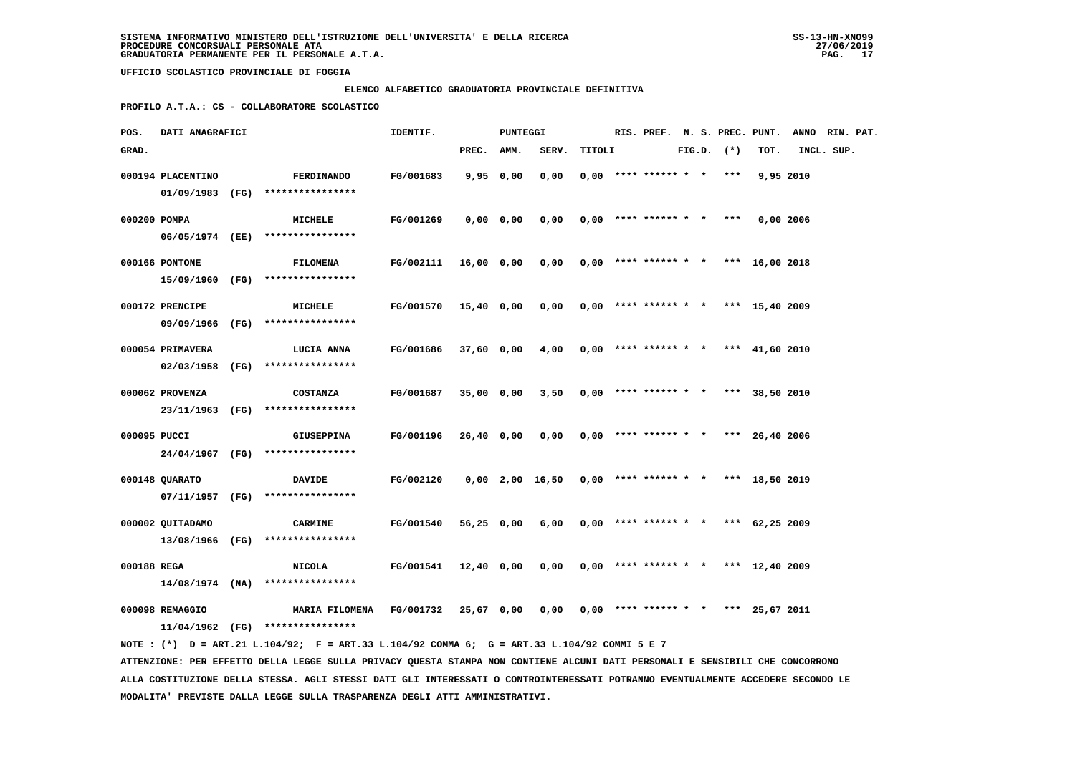# **ELENCO ALFABETICO GRADUATORIA PROVINCIALE DEFINITIVA**

 **PROFILO A.T.A.: CS - COLLABORATORE SCOLASTICO**

| POS.         | DATI ANAGRAFICI   |                                                                                                                               | IDENTIF.  |              | PUNTEGGI    |                 |        |                                       |  |                |           | RIS. PREF. N. S. PREC. PUNT. ANNO RIN. PAT. |  |
|--------------|-------------------|-------------------------------------------------------------------------------------------------------------------------------|-----------|--------------|-------------|-----------------|--------|---------------------------------------|--|----------------|-----------|---------------------------------------------|--|
| GRAD.        |                   |                                                                                                                               |           | PREC.        | AMM.        | SERV.           | TITOLI |                                       |  | $FIG.D.$ $(*)$ | TOT.      | INCL. SUP.                                  |  |
|              | 000194 PLACENTINO | <b>FERDINANDO</b>                                                                                                             | FG/001683 |              | 9,950,00    | 0,00            |        | $0.00$ **** ****** * *                |  | ***            | 9,95 2010 |                                             |  |
|              | 01/09/1983 (FG)   | ****************                                                                                                              |           |              |             |                 |        |                                       |  |                |           |                                             |  |
| 000200 POMPA |                   | MICHELE                                                                                                                       | FG/001269 |              |             | 0,00            |        | $0,00$ **** ****** * * ***            |  |                |           |                                             |  |
|              | 06/05/1974 (EE)   | ****************                                                                                                              |           |              | $0,00$ 0,00 |                 |        |                                       |  |                | 0,00 2006 |                                             |  |
|              |                   |                                                                                                                               |           |              |             |                 |        |                                       |  |                |           |                                             |  |
|              | 000166 PONTONE    | <b>FILOMENA</b>                                                                                                               | FG/002111 | $16,00$ 0,00 |             | 0,00            |        | $0,00$ **** ****** * * *** 16,00 2018 |  |                |           |                                             |  |
|              | 15/09/1960 (FG)   | ****************                                                                                                              |           |              |             |                 |        |                                       |  |                |           |                                             |  |
|              | 000172 PRENCIPE   | MICHELE                                                                                                                       | FG/001570 | $15,40$ 0,00 |             | 0,00            |        | $0,00$ **** ****** * * *** 15,40 2009 |  |                |           |                                             |  |
|              | 09/09/1966 (FG)   | ****************                                                                                                              |           |              |             |                 |        |                                       |  |                |           |                                             |  |
|              |                   |                                                                                                                               |           |              |             |                 |        |                                       |  |                |           |                                             |  |
|              | 000054 PRIMAVERA  | <b>LUCIA ANNA</b>                                                                                                             | FG/001686 | 37,60 0,00   |             | 4,00            |        | $0,00$ **** ****** * * *** 41,60 2010 |  |                |           |                                             |  |
|              | 02/03/1958 (FG)   | ****************                                                                                                              |           |              |             |                 |        |                                       |  |                |           |                                             |  |
|              | 000062 PROVENZA   | <b>COSTANZA</b>                                                                                                               | FG/001687 | 35,00 0,00   |             | 3,50            |        | $0,00$ **** ****** * * *** 38,50 2010 |  |                |           |                                             |  |
|              | 23/11/1963 (FG)   | ****************                                                                                                              |           |              |             |                 |        |                                       |  |                |           |                                             |  |
| 000095 PUCCI |                   | <b>GIUSEPPINA</b>                                                                                                             | FG/001196 | 26,40 0,00   |             | 0,00            |        | $0.00$ **** ****** * * *** 26.40 2006 |  |                |           |                                             |  |
|              |                   | 24/04/1967 (FG) ****************                                                                                              |           |              |             |                 |        |                                       |  |                |           |                                             |  |
|              |                   |                                                                                                                               |           |              |             |                 |        |                                       |  |                |           |                                             |  |
|              | 000148 QUARATO    | <b>DAVIDE</b>                                                                                                                 | FG/002120 |              |             | 0,00 2,00 16,50 |        | $0,00$ **** ****** * * *** 18,50 2019 |  |                |           |                                             |  |
|              | 07/11/1957 (FG)   | ****************                                                                                                              |           |              |             |                 |        |                                       |  |                |           |                                             |  |
|              | 000002 QUITADAMO  | <b>CARMINE</b>                                                                                                                | FG/001540 | 56,25 0,00   |             | 6,00            |        | $0,00$ **** ****** * * *** 62,25 2009 |  |                |           |                                             |  |
|              | 13/08/1966 (FG)   | ****************                                                                                                              |           |              |             |                 |        |                                       |  |                |           |                                             |  |
| 000188 REGA  |                   | <b>NICOLA</b>                                                                                                                 | FG/001541 | 12,40 0,00   |             | 0,00            |        | $0,00$ **** ****** * * *** 12,40 2009 |  |                |           |                                             |  |
|              | 14/08/1974 (NA)   | ****************                                                                                                              |           |              |             |                 |        |                                       |  |                |           |                                             |  |
|              |                   |                                                                                                                               |           |              |             |                 |        |                                       |  |                |           |                                             |  |
|              | 000098 REMAGGIO   | <b>MARIA FILOMENA</b>                                                                                                         | FG/001732 | 25,67 0,00   |             | 0,00            |        | $0,00$ **** ****** * * *** 25,67 2011 |  |                |           |                                             |  |
|              |                   | $11/04/1962$ (FG) ****************                                                                                            |           |              |             |                 |        |                                       |  |                |           |                                             |  |
|              |                   | NOTE : (*) D = ART.21 L.104/92; F = ART.33 L.104/92 COMMA 6; G = ART.33 L.104/92 COMMI 5 E 7                                  |           |              |             |                 |        |                                       |  |                |           |                                             |  |
|              |                   | ATTENZIONE: PER EFFETTO DELLA LEGGE SULLA PRIVACY QUESTA STAMPA NON CONTIENE ALCUNI DATI PERSONALI E SENSIBILI CHE CONCORRONO |           |              |             |                 |        |                                       |  |                |           |                                             |  |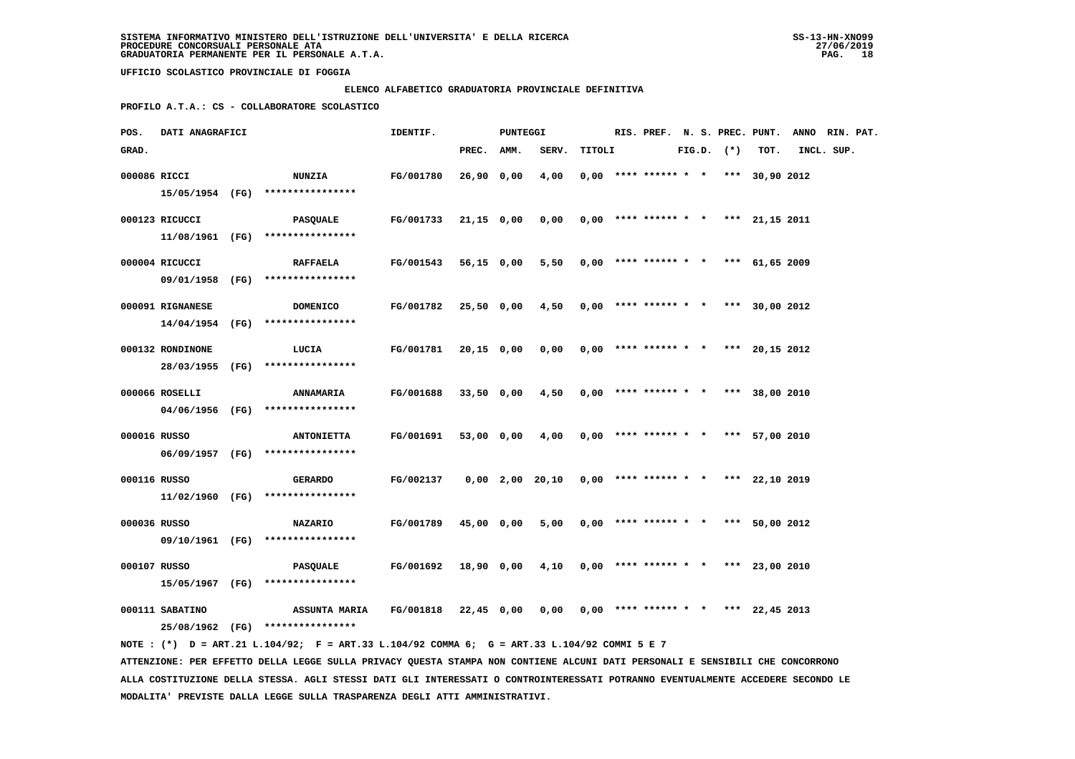### **ELENCO ALFABETICO GRADUATORIA PROVINCIALE DEFINITIVA**

 **PROFILO A.T.A.: CS - COLLABORATORE SCOLASTICO**

| POS.         | <b>DATI ANAGRAFICI</b> |                                                                                             | IDENTIF.             |            | PUNTEGGI |                                                     |        |  |  |                |                                       | RIS. PREF. N. S. PREC. PUNT. ANNO RIN. PAT. |  |
|--------------|------------------------|---------------------------------------------------------------------------------------------|----------------------|------------|----------|-----------------------------------------------------|--------|--|--|----------------|---------------------------------------|---------------------------------------------|--|
| GRAD.        |                        |                                                                                             |                      | PREC. AMM. |          | SERV.                                               | TITOLI |  |  | $FIG.D.$ $(*)$ | TOT.                                  | INCL. SUP.                                  |  |
| 000086 RICCI |                        | <b>NUNZIA</b>                                                                               | FG/001780            | 26,90 0,00 |          | 4,00                                                |        |  |  |                | $0,00$ **** ****** * * *** 30,90 2012 |                                             |  |
|              |                        | 15/05/1954 (FG) ****************                                                            |                      |            |          |                                                     |        |  |  |                |                                       |                                             |  |
|              | 000123 RICUCCI         | <b>PASQUALE</b>                                                                             | <b>FG/001733</b>     | 21,15 0,00 |          | 0,00                                                |        |  |  |                | $0,00$ **** ****** * * *** 21,15 2011 |                                             |  |
|              |                        | $11/08/1961$ (FG) *****************                                                         |                      |            |          |                                                     |        |  |  |                |                                       |                                             |  |
|              |                        |                                                                                             |                      |            |          |                                                     |        |  |  |                |                                       |                                             |  |
|              | 000004 RICUCCI         | <b>RAFFAELA</b>                                                                             | FG/001543            | 56,15 0,00 |          | 5,50                                                |        |  |  |                | $0,00$ **** ****** * * *** 61,65 2009 |                                             |  |
|              |                        | 09/01/1958 (FG) ****************                                                            |                      |            |          |                                                     |        |  |  |                |                                       |                                             |  |
|              | 000091 RIGNANESE       | <b>DOMENICO</b>                                                                             | FG/001782            | 25,50 0,00 |          | 4,50                                                |        |  |  |                | $0,00$ **** ****** * * *** 30,00 2012 |                                             |  |
|              |                        | 14/04/1954 (FG) ****************                                                            |                      |            |          |                                                     |        |  |  |                |                                       |                                             |  |
|              | 000132 RONDINONE       |                                                                                             | FG/001781            | 20,15 0,00 |          | 0,00                                                |        |  |  |                | $0,00$ **** ****** * * *** 20,15 2012 |                                             |  |
|              |                        | LUCIA<br>28/03/1955 (FG) ****************                                                   |                      |            |          |                                                     |        |  |  |                |                                       |                                             |  |
|              |                        |                                                                                             |                      |            |          |                                                     |        |  |  |                |                                       |                                             |  |
|              | 000066 ROSELLI         | <b>ANNAMARIA</b>                                                                            | FG/001688            | 33,50 0,00 |          | 4,50                                                |        |  |  |                | $0,00$ **** ****** * * *** 38,00 2010 |                                             |  |
|              |                        | 04/06/1956 (FG) ****************                                                            |                      |            |          |                                                     |        |  |  |                |                                       |                                             |  |
| 000016 RUSSO |                        | <b>ANTONIETTA</b>                                                                           | FG/001691            | 53,00 0,00 |          | 4,00                                                |        |  |  |                | $0,00$ **** ****** * * *** 57,00 2010 |                                             |  |
|              |                        | 06/09/1957 (FG) ****************                                                            |                      |            |          |                                                     |        |  |  |                |                                       |                                             |  |
|              |                        |                                                                                             |                      |            |          |                                                     |        |  |  |                |                                       |                                             |  |
| 000116 RUSSO |                        | <b>GERARDO</b>                                                                              | FG/002137            |            |          | $0,00$ 2,00 20,10 0,00 **** ****** * *** 22,10 2019 |        |  |  |                |                                       |                                             |  |
|              |                        | $11/02/1960$ (FG) ****************                                                          |                      |            |          |                                                     |        |  |  |                |                                       |                                             |  |
| 000036 RUSSO |                        | <b>NAZARIO</b>                                                                              | <b>FG/001789</b>     | 45,00 0,00 |          | 5,00                                                |        |  |  |                | $0,00$ **** ****** * * *** 50,00 2012 |                                             |  |
|              |                        | 09/10/1961 (FG) ****************                                                            |                      |            |          |                                                     |        |  |  |                |                                       |                                             |  |
| 000107 RUSSO |                        | PASQUALE                                                                                    | FG/001692 18,90 0,00 |            |          | 4,10                                                |        |  |  |                | $0,00$ **** ****** * * *** 23,00 2010 |                                             |  |
|              |                        | 15/05/1967 (FG) ****************                                                            |                      |            |          |                                                     |        |  |  |                |                                       |                                             |  |
|              |                        |                                                                                             |                      |            |          |                                                     |        |  |  |                |                                       |                                             |  |
|              | 000111 SABATINO        | ASSUNTA MARIA FG/001818 22,45 0,00                                                          |                      |            |          | $0,00$ $0,00$ **** ****** * * *** 22,45 2013        |        |  |  |                |                                       |                                             |  |
|              |                        | 25/08/1962 (FG) ****************                                                            |                      |            |          |                                                     |        |  |  |                |                                       |                                             |  |
|              |                        | NOTE: (*) D = ART.21 L.104/92; F = ART.33 L.104/92 COMMA 6; G = ART.33 L.104/92 COMMI 5 E 7 |                      |            |          |                                                     |        |  |  |                |                                       |                                             |  |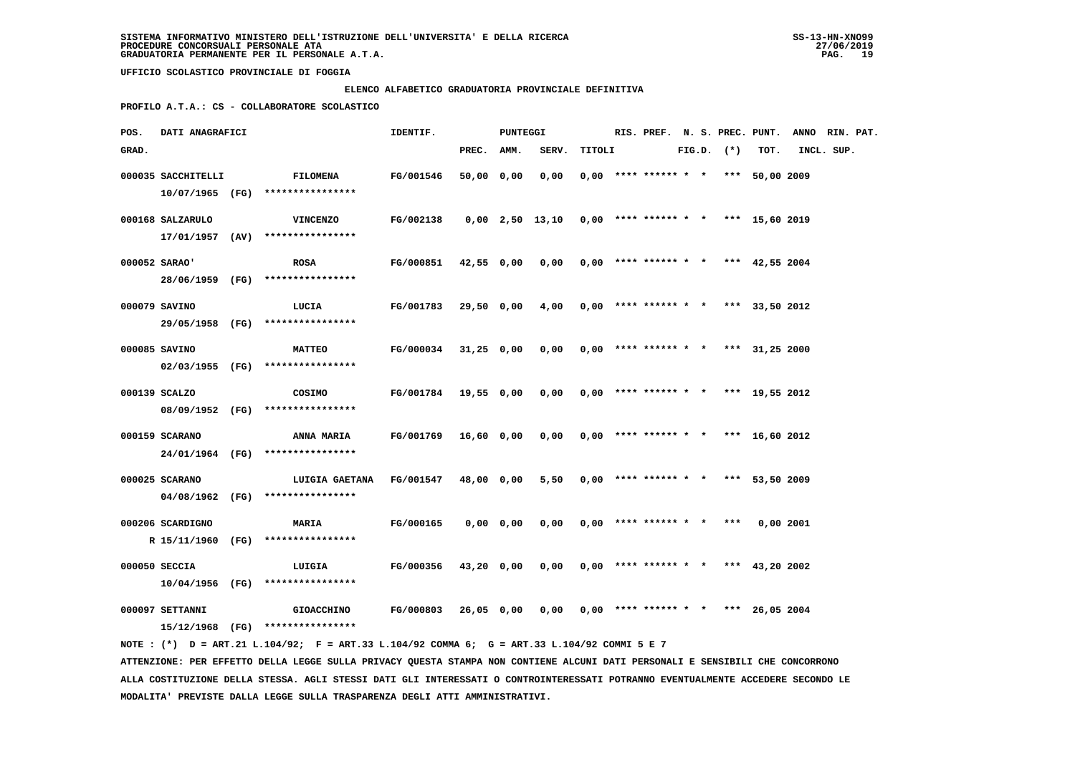# **ELENCO ALFABETICO GRADUATORIA PROVINCIALE DEFINITIVA**

 **PROFILO A.T.A.: CS - COLLABORATORE SCOLASTICO**

| POS.  | DATI ANAGRAFICI    |                                                                                                                               | IDENTIF.         |            | PUNTEGGI      |                   |        |                            |  |                | RIS. PREF. N. S. PREC. PUNT.          | ANNO RIN. PAT. |  |
|-------|--------------------|-------------------------------------------------------------------------------------------------------------------------------|------------------|------------|---------------|-------------------|--------|----------------------------|--|----------------|---------------------------------------|----------------|--|
| GRAD. |                    |                                                                                                                               |                  | PREC. AMM. |               | SERV.             | TITOLI |                            |  | $FIG.D.$ $(*)$ | TOT.                                  | INCL. SUP.     |  |
|       | 000035 SACCHITELLI | <b>FILOMENA</b>                                                                                                               | FG/001546        | 50,00 0,00 |               | 0,00              |        |                            |  |                | $0.00$ **** ****** * * *** 50.00 2009 |                |  |
|       | 10/07/1965 (FG)    | ****************                                                                                                              |                  |            |               |                   |        |                            |  |                |                                       |                |  |
|       | 000168 SALZARULO   | <b>VINCENZO</b>                                                                                                               | FG/002138        |            |               | $0,00$ 2,50 13,10 |        |                            |  |                |                                       |                |  |
|       | 17/01/1957 (AV)    | ****************                                                                                                              |                  |            |               |                   |        |                            |  |                | $0,00$ **** ****** * * *** 15,60 2019 |                |  |
|       |                    |                                                                                                                               |                  |            |               |                   |        |                            |  |                |                                       |                |  |
|       | 000052 SARAO'      | <b>ROSA</b>                                                                                                                   | FG/000851        | 42,55 0,00 |               | 0,00              |        |                            |  |                | $0,00$ **** ****** * * *** 42,55 2004 |                |  |
|       |                    | 28/06/1959 (FG) ****************                                                                                              |                  |            |               |                   |        |                            |  |                |                                       |                |  |
|       | 000079 SAVINO      | LUCIA                                                                                                                         | FG/001783        | 29,50 0,00 |               | 4,00              |        |                            |  |                | $0,00$ **** ****** * * *** 33,50 2012 |                |  |
|       | 29/05/1958 (FG)    | ****************                                                                                                              |                  |            |               |                   |        |                            |  |                |                                       |                |  |
|       |                    |                                                                                                                               |                  |            |               |                   |        |                            |  |                |                                       |                |  |
|       | 000085 SAVINO      | <b>MATTEO</b>                                                                                                                 | <b>FG/000034</b> | 31,25 0,00 |               | 0,00              |        |                            |  |                | $0,00$ **** ****** * * *** 31,25 2000 |                |  |
|       |                    | 02/03/1955 (FG) ****************                                                                                              |                  |            |               |                   |        |                            |  |                |                                       |                |  |
|       | 000139 SCALZO      | COSIMO                                                                                                                        | FG/001784        | 19,55 0,00 |               | 0,00              |        |                            |  |                | $0,00$ **** ****** * * *** 19,55 2012 |                |  |
|       | 08/09/1952 (FG)    | ****************                                                                                                              |                  |            |               |                   |        |                            |  |                |                                       |                |  |
|       | 000159 SCARANO     | <b>ANNA MARIA</b>                                                                                                             | <b>FG/001769</b> | 16,60 0,00 |               | 0,00              |        |                            |  |                | $0,00$ **** ****** * * *** 16,60 2012 |                |  |
|       | 24/01/1964 (FG)    | ****************                                                                                                              |                  |            |               |                   |        |                            |  |                |                                       |                |  |
|       |                    |                                                                                                                               |                  |            |               |                   |        |                            |  |                |                                       |                |  |
|       | 000025 SCARANO     | LUIGIA GAETANA FG/001547                                                                                                      |                  | 48,00 0,00 |               | 5,50              |        |                            |  |                | $0,00$ **** ****** * * *** 53,50 2009 |                |  |
|       | 04/08/1962 (FG)    | ****************                                                                                                              |                  |            |               |                   |        |                            |  |                |                                       |                |  |
|       | 000206 SCARDIGNO   | MARIA                                                                                                                         | FG/000165        |            | $0,00$ $0,00$ | 0,00              |        | $0,00$ **** ****** * * *** |  |                | 0,00 2001                             |                |  |
|       | R 15/11/1960 (FG)  | ****************                                                                                                              |                  |            |               |                   |        |                            |  |                |                                       |                |  |
|       | 000050 SECCIA      | LUIGIA                                                                                                                        | FG/000356        | 43,20 0,00 |               | 0,00              |        |                            |  |                | $0,00$ **** ****** * * *** 43,20 2002 |                |  |
|       | 10/04/1956 (FG)    | ****************                                                                                                              |                  |            |               |                   |        |                            |  |                |                                       |                |  |
|       |                    |                                                                                                                               |                  |            |               |                   |        |                            |  |                |                                       |                |  |
|       | 000097 SETTANNI    | <b>GIOACCHINO</b>                                                                                                             | FG/000803        | 26,05 0,00 |               | 0,00              |        |                            |  |                | $0.00$ **** ****** * * *** 26.05 2004 |                |  |
|       |                    | 15/12/1968 (FG) ****************                                                                                              |                  |            |               |                   |        |                            |  |                |                                       |                |  |
|       |                    | NOTE : (*) D = ART.21 L.104/92; F = ART.33 L.104/92 COMMA 6; G = ART.33 L.104/92 COMMI 5 E 7                                  |                  |            |               |                   |        |                            |  |                |                                       |                |  |
|       |                    | ATTENZIONE: PER EFFETTO DELLA LEGGE SULLA PRIVACY QUESTA STAMPA NON CONTIENE ALCUNI DATI PERSONALI E SENSIBILI CHE CONCORRONO |                  |            |               |                   |        |                            |  |                |                                       |                |  |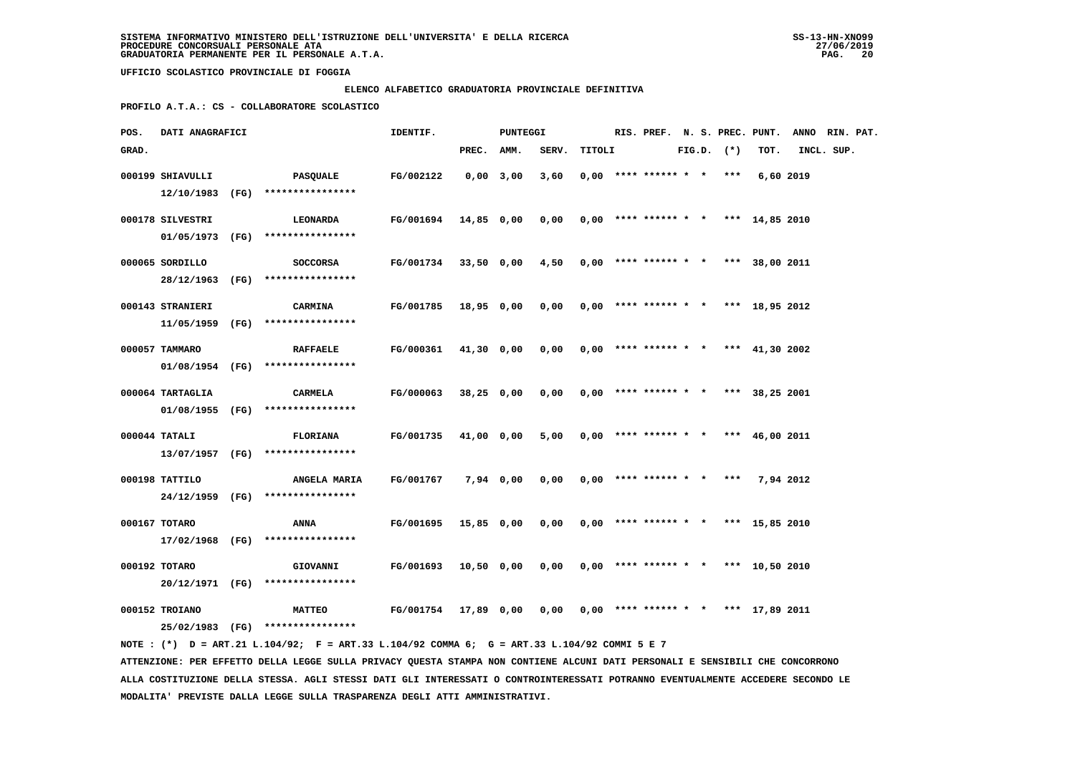### **ELENCO ALFABETICO GRADUATORIA PROVINCIALE DEFINITIVA**

 **PROFILO A.T.A.: CS - COLLABORATORE SCOLASTICO**

| POS.  | DATI ANAGRAFICI  |                                                                                                                                 | IDENTIF.             |             | PUNTEGGI   |                                              |        |                                       |  |                |           | RIS. PREF. N. S. PREC. PUNT. ANNO RIN. PAT. |  |
|-------|------------------|---------------------------------------------------------------------------------------------------------------------------------|----------------------|-------------|------------|----------------------------------------------|--------|---------------------------------------|--|----------------|-----------|---------------------------------------------|--|
| GRAD. |                  |                                                                                                                                 |                      | PREC. AMM.  |            | SERV.                                        | TITOLI |                                       |  | $FIG.D.$ $(*)$ | TOT.      | INCL. SUP.                                  |  |
|       | 000199 SHIAVULLI | PASQUALE<br>$12/10/1983$ (FG) ****************                                                                                  | FG/002122            | $0,00$ 3,00 |            | 3,60                                         |        | $0,00$ **** ****** * * ***            |  |                | 6,60 2019 |                                             |  |
|       | 000178 SILVESTRI | <b>LEONARDA</b>                                                                                                                 | FG/001694 14,85 0,00 |             |            | 0,00                                         |        | $0,00$ **** ****** * * *** 14,85 2010 |  |                |           |                                             |  |
|       | 000065 SORDILLO  | 01/05/1973 (FG) ****************<br><b>SOCCORSA</b>                                                                             | FG/001734 33,50 0,00 |             |            | 4,50                                         |        | $0,00$ **** ****** * * *** 38,00 2011 |  |                |           |                                             |  |
|       | 000143 STRANIERI | 28/12/1963 (FG) ****************<br><b>CARMINA</b>                                                                              | FG/001785 18,95 0,00 |             |            | $0,00$ $0,00$ **** ****** * * *** 18,95 2012 |        |                                       |  |                |           |                                             |  |
|       |                  | $11/05/1959$ (FG) ****************                                                                                              |                      |             |            |                                              |        |                                       |  |                |           |                                             |  |
|       | 000057 TAMMARO   | <b>RAFFAELE</b><br>$01/08/1954$ (FG) *****************                                                                          | FG/000361            |             | 41,30 0,00 | 0.00                                         |        | $0.00$ **** ****** * * *** 41,30 2002 |  |                |           |                                             |  |
|       | 000064 TARTAGLIA | CARMELA<br>01/08/1955 (FG) ****************                                                                                     | <b>FG/000063</b>     |             | 38,25 0,00 | 0,00                                         |        | $0,00$ **** ****** * * *** 38,25 2001 |  |                |           |                                             |  |
|       | 000044 TATALI    | <b>FLORIANA</b><br>13/07/1957 (FG) ****************                                                                             | FG/001735            |             | 41,00 0,00 | 5,00                                         |        | $0.00$ **** ****** * * *** 46.00 2011 |  |                |           |                                             |  |
|       | 000198 TATTILO   | ANGELA MARIA<br>24/12/1959 (FG) ****************                                                                                | FG/001767            |             | 7,94 0,00  | 0,00                                         |        | $0,00$ **** ****** * * *** 7,94 2012  |  |                |           |                                             |  |
|       | 000167 TOTARO    | ANNA<br>17/02/1968 (FG) ****************                                                                                        | FG/001695            |             | 15,85 0,00 | 0,00                                         |        | $0.00$ **** ****** * * *** 15.85 2010 |  |                |           |                                             |  |
|       | 000192 TOTARO    | <b>GIOVANNI</b><br>20/12/1971 (FG) ****************                                                                             | FG/001693            |             | 10,50 0,00 | 0,00                                         |        | $0,00$ **** ****** * * *** 10,50 2010 |  |                |           |                                             |  |
|       | 000152 TROIANO   | <b>MATTEO</b>                                                                                                                   | FG/001754 17,89 0,00 |             |            | $0,00$ $0,00$ **** ****** * * *** 17,89 2011 |        |                                       |  |                |           |                                             |  |
|       |                  | 25/02/1983 (FG) ****************<br>NOTE: (*) D = ART.21 L.104/92; F = ART.33 L.104/92 COMMA 6; G = ART.33 L.104/92 COMMI 5 E 7 |                      |             |            |                                              |        |                                       |  |                |           |                                             |  |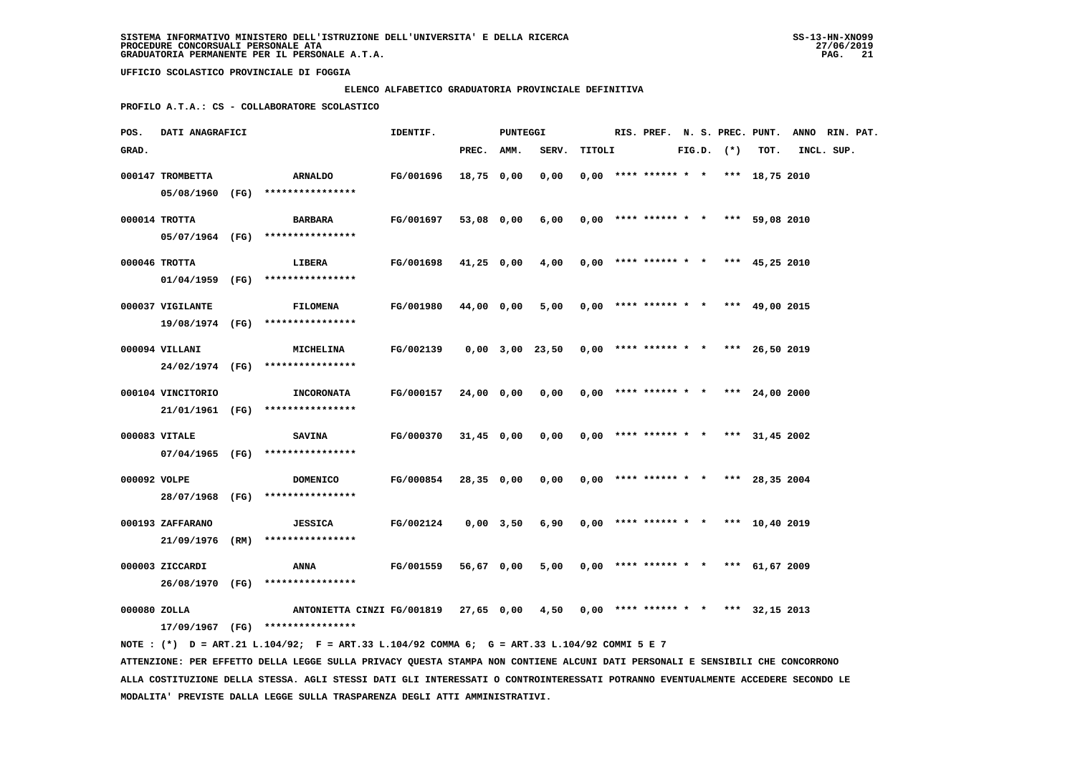# **ELENCO ALFABETICO GRADUATORIA PROVINCIALE DEFINITIVA**

 **PROFILO A.T.A.: CS - COLLABORATORE SCOLASTICO**

| GRAD.<br>PREC.<br>AMM.<br>SERV.<br>TITOLI<br>$FIG.D.$ $(*)$<br>TOT.<br>INCL. SUP.<br>000147 TROMBETTA<br>FG/001696<br>0,00<br>$0.00$ **** ****** * * *** 18,75 2010<br><b>ARNALDO</b><br>18,75 0,00<br>05/08/1960 (FG) **************** |  |
|-----------------------------------------------------------------------------------------------------------------------------------------------------------------------------------------------------------------------------------------|--|
|                                                                                                                                                                                                                                         |  |
|                                                                                                                                                                                                                                         |  |
|                                                                                                                                                                                                                                         |  |
| 000014 TROTTA<br>FG/001697<br>53,08 0,00<br>6,00<br>$0,00$ **** ****** * * *** 59,08 2010<br>BARBARA                                                                                                                                    |  |
| 05/07/1964 (FG) ****************                                                                                                                                                                                                        |  |
|                                                                                                                                                                                                                                         |  |
| 000046 TROTTA<br>FG/001698<br>LIBERA<br>41,25 0,00<br>4,00<br>$0,00$ **** ****** * * *** 45,25 2010                                                                                                                                     |  |
| 01/04/1959 (FG) ****************                                                                                                                                                                                                        |  |
| 000037 VIGILANTE<br>FG/001980<br><b>FILOMENA</b><br>44,00 0,00<br>5,00<br>$0,00$ **** ****** * * *** 49,00 2015                                                                                                                         |  |
| 19/08/1974 (FG) ****************                                                                                                                                                                                                        |  |
|                                                                                                                                                                                                                                         |  |
| 000094 VILLANI<br>FG/002139<br>0,00 3,00 23,50<br>$0,00$ **** ****** * * *** 26,50 2019<br><b>MICHELINA</b>                                                                                                                             |  |
| 24/02/1974 (FG) ****************                                                                                                                                                                                                        |  |
| 000104 VINCITORIO<br>FG/000157<br>0,00<br>$0,00$ **** ****** * * *** 24,00 2000<br><b>INCORONATA</b><br>24,00 0,00                                                                                                                      |  |
| 21/01/1961 (FG) ****************                                                                                                                                                                                                        |  |
| 000083 VITALE<br>FG/000370<br>$31,45$ 0,00<br>0,00<br>$0,00$ **** ****** * * *** 31,45 2002<br><b>SAVINA</b>                                                                                                                            |  |
| 07/04/1965 (FG) ****************                                                                                                                                                                                                        |  |
|                                                                                                                                                                                                                                         |  |
| 000092 VOLPE<br>FG/000854<br>28,35 0,00<br>0,00<br>$0,00$ **** ****** * * *** 28,35 2004<br>DOMENICO                                                                                                                                    |  |
| 28/07/1968 (FG)<br>****************                                                                                                                                                                                                     |  |
| 000193 ZAFFARANO<br>FG/002124<br>$0,00$ **** ****** * * *** 10,40 2019<br>$0,00$ $3,50$<br>6,90<br><b>JESSICA</b>                                                                                                                       |  |
| 21/09/1976 (RM)<br>****************                                                                                                                                                                                                     |  |
| 000003 ZICCARDI<br><b>FG/001559</b><br>$0,00$ **** ****** * * *** 61,67 2009<br>ANNA<br>56,67 0,00<br>5,00                                                                                                                              |  |
| 26/08/1970 (FG) ****************                                                                                                                                                                                                        |  |
|                                                                                                                                                                                                                                         |  |
| 000080 ZOLLA<br>ANTONIETTA CINZI FG/001819 27,65 0,00<br>$0,00$ **** ****** * * *** 32,15 2013<br>4,50                                                                                                                                  |  |
| 17/09/1967 (FG) ****************                                                                                                                                                                                                        |  |
| NOTE : (*) D = ART.21 L.104/92; F = ART.33 L.104/92 COMMA 6; G = ART.33 L.104/92 COMMI 5 E 7<br>ATTENZIONE: PER EFFETTO DELLA LEGGE SULLA PRIVACY QUESTA STAMPA NON CONTIENE ALCUNI DATI PERSONALI E SENSIBILI CHE CONCORRONO           |  |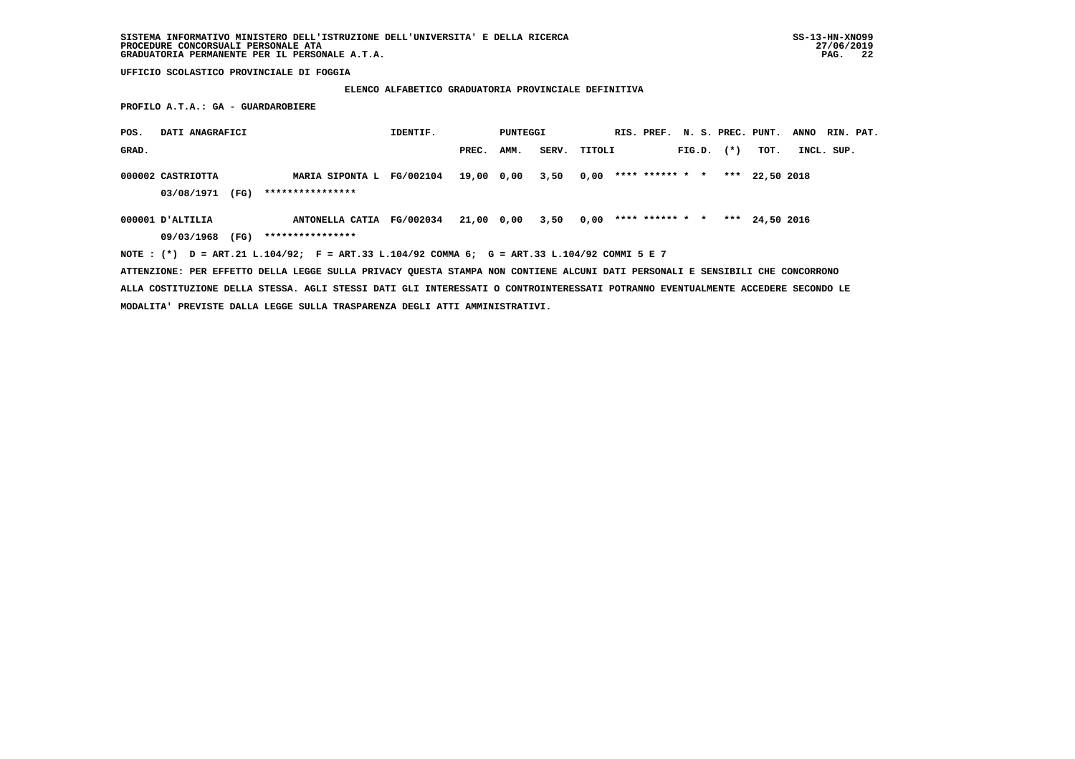# **ELENCO ALFABETICO GRADUATORIA PROVINCIALE DEFINITIVA**

 **PROFILO A.T.A.: GA - GUARDAROBIERE**

| POS.  | DATI ANAGRAFICI                                                                                                               |                           | IDENTIF. |       | PUNTEGGI        |       |        |                 |  |                | RIS. PREF. N. S. PREC. PUNT. | <b>ANNO</b> | RIN. PAT. |
|-------|-------------------------------------------------------------------------------------------------------------------------------|---------------------------|----------|-------|-----------------|-------|--------|-----------------|--|----------------|------------------------------|-------------|-----------|
| GRAD. |                                                                                                                               |                           |          | PREC. | AMM.            | SERV. | TITOLI |                 |  | $FIG.D.$ $(*)$ | TOT.                         | INCL. SUP.  |           |
|       | 000002 CASTRIOTTA                                                                                                             | MARIA SIPONTA L FG/002104 |          |       | 19,00 0,00 3,50 |       | 0,00   | **** ****** * * |  |                | *** 22,50 2018               |             |           |
|       | 03/08/1971<br>(FG)                                                                                                            | ****************          |          |       |                 |       |        |                 |  |                |                              |             |           |
|       | $000001$ D'ALTILIA                                                                                                            | ANTONELLA CATIA FG/002034 |          |       | 21,00 0,00 3,50 |       | 0,00   | **** ****** * * |  |                | *** $24.50$ 2016             |             |           |
|       | 09/03/1968<br>(FG)                                                                                                            | ****************          |          |       |                 |       |        |                 |  |                |                              |             |           |
|       | NOTE: (*) D = ART.21 L.104/92; F = ART.33 L.104/92 COMMA 6; G = ART.33 L.104/92 COMMI 5 E 7                                   |                           |          |       |                 |       |        |                 |  |                |                              |             |           |
|       | ATTENZIONE: PER EFFETTO DELLA LEGGE SULLA PRIVACY QUESTA STAMPA NON CONTIENE ALCUNI DATI PERSONALI E SENSIBILI CHE CONCORRONO |                           |          |       |                 |       |        |                 |  |                |                              |             |           |